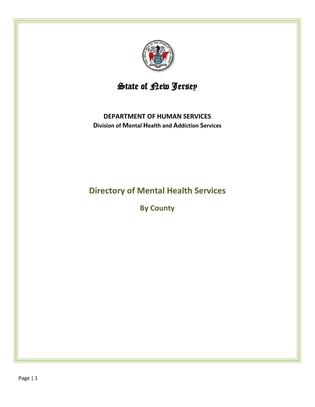

# State of <u>Pew Jersey</u>

# **DEPARTMENT OF HUMAN SERVICES Division of Mental Health and Addiction Services**

# **Directory of Mental Health Services**

**By County**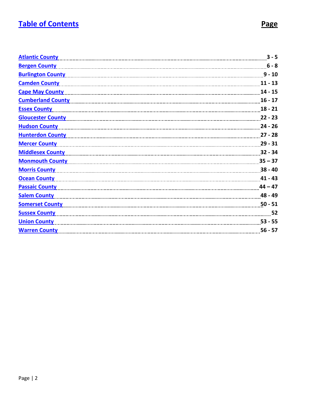# <span id="page-1-0"></span>**[Table of Contents](#page-1-0) Page**

| <b>Atlantic County</b>   | $3 - 5$   |
|--------------------------|-----------|
| <b>Bergen County</b>     | $6 - 8$   |
| <b>Burlington County</b> | $9 - 10$  |
| <b>Camden County</b>     | $11 - 13$ |
| <b>Cape May County</b>   | $14 - 15$ |
| <b>Cumberland County</b> | $16 - 17$ |
| <b>Essex County</b>      | $18 - 21$ |
| <b>Gloucester County</b> | $22 - 23$ |
| <b>Hudson County</b>     | $24 - 26$ |
| <b>Hunterdon County</b>  | $27 - 28$ |
| <b>Mercer County</b>     | $29 - 31$ |
| <b>Middlesex County</b>  | $32 - 34$ |
| <b>Monmouth County</b>   | $35 - 37$ |
| <b>Morris County</b>     | $38 - 40$ |
| <b>Ocean County</b>      | $41 - 43$ |
| <b>Passaic County</b>    | $44 - 47$ |
| <b>Salem County</b>      | 48 - 49   |
| <b>Somerset County</b>   | $50 - 51$ |
| <b>Sussex County</b>     | 52        |
| <b>Union County</b>      | $53 - 55$ |
| <b>Warren County</b>     | $56 - 57$ |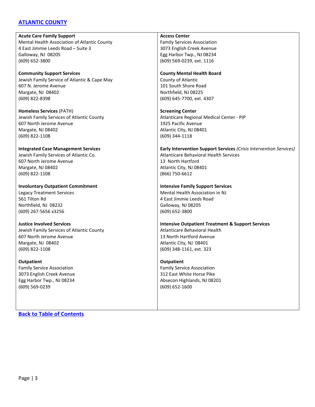### <span id="page-2-0"></span>**[ATLANTIC COUNTY](#page-2-0)**

**Acute Care Family Support** Mental Health Association of Atlantic County 4 East Jimmie Leeds Road – Suite 3 Galloway, NJ 08205 (609) 652-3800

**Community Support Services** Jewish Family Service of Atlantic & Cape May 607 N. Jerome Avenue Margate, NJ 08402 (609) 822-8398

**Homeless Services** (PATH) Jewish Family Services of Atlantic County 607 North Jerome Avenue Margate, NJ 08402 (609) 822-1108

### **Integrated Case Management Services**

Jewish Family Services of Atlantic Co. 607 North Jerome Avenue Margate, NJ 08402 (609) 822-1108

**Involuntary Outpatient Commitment** Legacy Treatment Services 561 Tilton Rd Northfield, NJ 08232 (609) 267-5656 x3256

**Justice Involved Services** Jewish Family Services of Atlantic County 607 North Jerome Avenue Margate, NJ 08402 (609) 822-1108

**Outpatient** Family Service Association 3073 English Creek Avenue Egg Harbor Twp., NJ 08234 (609) 569-0239

**[Back to Table of Contents](#page-1-0)**

**Access Center**

Family Services Association 3073 English Creek Avenue Egg Harbor Twp., NJ 08234 (609) 569-0239, ext. 1116

#### **County Mental Health Board**

County of Atlantic 101 South Shore Road Northfield, NJ 08225 (609) 645-7700, ext. 4307

**Screening Center** Atlanticare Regional Medical Center - PIP 1925 Pacific Avenue Atlantic City, NJ 08401 (609) 344-1118

#### **Early Intervention Support Services** *(Crisis Intervention Services)* Atlanticare Behavioral Health Services 13 North Hartford Atlantic City, NJ 08401 (866) 750-6612

### **Intensive Family Support Services**

Mental Health Association in NJ 4 East Jimmie Leeds Road Galloway, NJ 08205 (609) 652-3800

**Intensive Outpatient Treatment & Support Services** Atlanticare Behavioral Health 13 North Hartford Avenue Atlantic City, NJ 08401 (609) 348-1161, ext. 323

**Outpatient**

Family Service Association 312 East White Horse Pike Absecon Highlands, NJ 08201 (609) 652-1600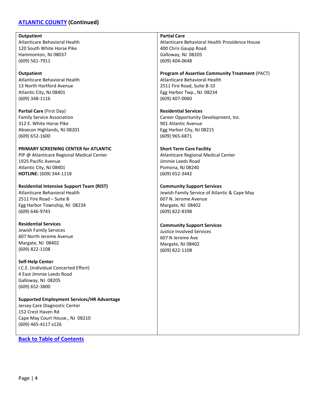### **[ATLANTIC COUNTY](#page-2-0) (Continued)**

#### **Outpatient**

Atlanticare Behavioral Health 120 South White Horse Pike Hammonton, NJ 08037 (609) 561-7911

### **Outpatient**

Atlanticare Behavioral Health 13 North Hartford Avenue Atlantic City, NJ 08401 (609) 348-1116

**Partial Care** (First Day) Family Service Association 312 E. White Horse Pike Absecon Highlands, NJ 08201 (609) 652-1600

### **PRIMARY SCREENING CENTER for ATLANTIC**

PIP @ Atlanticare Regional Medical Center 1925 Pacific Avenue Atlantic City, NJ 08401 **HOTLINE:** (609) 344-1118

**Residential Intensive Support Team (RIST)** Atlanticare Behavioral Health 2511 Fire Road – Suite B Egg Harbor Township, NJ 08234 (609) 646-9743

**Residential Services** Jewish Family Services 607 North Jerome Avenue Margate, NJ 08402 (609) 822-1108

**Self-Help Center** I.C.E. (Individual Concerted Effort)

4 East Jimmie Leeds Road Galloway, NJ 08205 (609) 652-3800

**Supported Employment Services/HR Advantage** Jersey Care Diagnostic Center 152 Crest Haven Rd Cape May Court House., NJ 08210 (609) 465-4117 x126

**[Back to Table of Contents](#page-1-0)**

**Partial Care**

Atlanticare Behavioral Health Providence House 400 Chris Gaupp Road Galloway, NJ 08205 (609) 404-0648

### **Program of Assertive Community Treatment** (PACT)

Atlanticare Behavioral Health 2511 Fire Road, Suite B-10 Egg Harbor Twp., NJ 08234 (609) 407-0060

**Residential Services** Career Opportunity Development, Inc. 901 Atlantic Avenue Egg Harbor City, NJ 08215 (609) 965-6871

#### **Short Term Care Facility**

Atlanticare Regional Medical Center Jimmie Leeds Road Pomona, NJ 08240 (609) 652-3442

### **Community Support Services**

Jewish Family Service of Atlantic & Cape May 607 N. Jerome Avenue Margate, NJ 08402 (609) 822-8398

#### **Community Support Services**

Justice Involved Services 607 N Jerome Ave Margate, NJ 08402 (609) 822-1108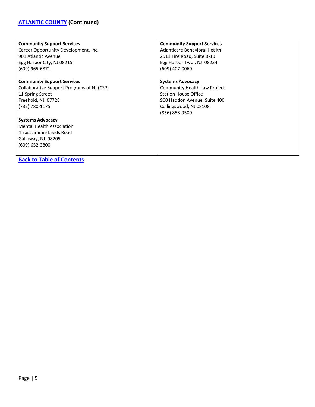# **[ATLANTIC COUNTY](#page-2-0) (Continued)**

| <b>Community Support Services</b>          | <b>Community Support Services</b>   |
|--------------------------------------------|-------------------------------------|
| Career Opportunity Development, Inc.       | Atlanticare Behavioral Health       |
| 901 Atlantic Avenue                        | 2511 Fire Road, Suite B-10          |
| Egg Harbor City, NJ 08215                  | Egg Harbor Twp., NJ 08234           |
| (609) 965-6871                             | (609) 407-0060                      |
| <b>Community Support Services</b>          | <b>Systems Advocacy</b>             |
| Collaborative Support Programs of NJ (CSP) | <b>Community Health Law Project</b> |
|                                            |                                     |
| 11 Spring Street                           | <b>Station House Office</b>         |
| Freehold, NJ 07728                         | 900 Haddon Avenue, Suite 400        |
| (732) 780-1175                             | Collingswood, NJ 08108              |
|                                            | (856) 858-9500                      |
| <b>Systems Advocacy</b>                    |                                     |
| <b>Mental Health Association</b>           |                                     |
| 4 East Jimmie Leeds Road                   |                                     |
| Galloway, NJ 08205                         |                                     |
| (609) 652-3800                             |                                     |
|                                            |                                     |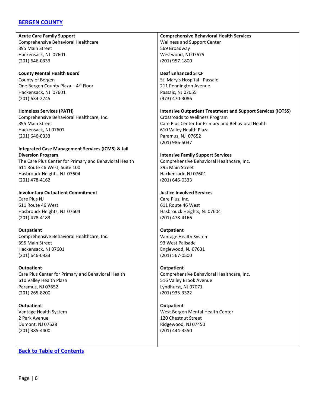### <span id="page-5-0"></span>**[BERGEN COUNTY](#page-5-0)**

**Acute Care Family Support** Comprehensive Behavioral Healthcare 395 Main Street Hackensack, NJ 07601 (201) 646-0333

**County Mental Health Board** County of Bergen One Bergen County Plaza  $-4$ <sup>th</sup> Floor Hackensack, NJ 07601 (201) 634-2745

**Homeless Services (PATH)** Comprehensive Behavioral Healthcare, Inc. 395 Main Street Hackensack, NJ 07601 (201) 646-0333

### **Integrated Case Management Services (ICMS) & Jail Diversion Program**

The Care Plus Center for Primary and Behavioral Health 611 Route 46 West, Suite 100 Hasbrouck Heights, NJ 07604 (201) 478-4162

**Involuntary Outpatient Commitment** Care Plus NJ 611 Route 46 West Hasbrouck Heights, NJ 07604 (201) 478-4183

**Outpatient** Comprehensive Behavioral Healthcare, Inc. 395 Main Street Hackensack, NJ 07601 (201) 646-0333

**Outpatient** Care Plus Center for Primary and Behavioral Health 610 Valley Health Plaza Paramus, NJ 07652 (201) 265-8200

**Outpatient** Vantage Health System 2 Park Avenue Dumont, NJ 07628 (201) 385-4400

**[Back to Table of Contents](#page-1-0)**

**Comprehensive Behavioral Health Services** Wellness and Support Center 569 Broadway Westwood, NJ 07675 (201) 957-1800

**Deaf Enhanced STCF** St. Mary's Hospital - Passaic 211 Pennington Avenue Passaic, NJ 07055 (973) 470-3086

### **Intensive Outpatient Treatment and Support Services (IOTSS)**

Crossroads to Wellness Program Care Plus Center for Primary and Behavioral Health 610 Valley Health Plaza Paramus, NJ 07652 (201) 986-5037

### **Intensive Family Support Services**

Comprehensive Behavioral Healthcare, Inc. 395 Main Street Hackensack, NJ 07601 (201) 646-0333

### **Justice Involved Services**

Care Plus, Inc. 611 Route 46 West Hasbrouck Heights, NJ 07604 (201) 478-4166

**Outpatient** Vantage Health System 93 West Palisade Englewood, NJ 07631 (201) 567-0500

### **Outpatient**

Comprehensive Behavioral Healthcare, Inc. 516 Valley Brook Avenue Lyndhurst, NJ 07071 (201) 935-3322

**Outpatient** West Bergen Mental Health Center 120 Chestnut Street Ridgewood, NJ 07450 (201) 444-3550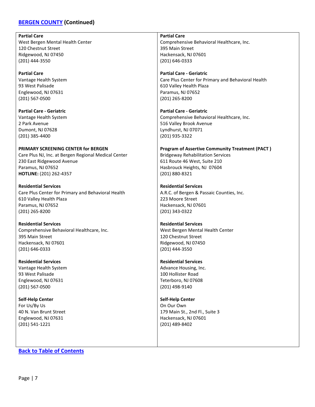### **[BERGEN COUNTY](#page-5-0) (Continued)**

#### **Partial Care**

West Bergen Mental Health Center 120 Chestnut Street Ridgewood, NJ 07450 (201) 444-3550

**Partial Care** Vantage Health System 93 West Palisade Englewood, NJ 07631 (201) 567-0500

**Partial Care - Geriatric** Vantage Health System 2 Park Avenue Dumont, NJ 07628 (201) 385-4400

**PRIMARY SCREENING CENTER for BERGEN** Care Plus NJ, Inc. at Bergen Regional Medical Center 230 East Ridgewood Avenue Paramus, NJ 07652 **HOTLINE:** (201) 262-4357

**Residential Services** Care Plus Center for Primary and Behavioral Health 610 Valley Health Plaza Paramus, NJ 07652 (201) 265-8200

**Residential Services** Comprehensive Behavioral Healthcare, Inc. 395 Main Street Hackensack, NJ 07601 (201) 646-0333

**Residential Services** Vantage Health System 93 West Palisade Englewood, NJ 07631 (201) 567-0500

**Self-Help Center** For Us/By Us 40 N. Van Brunt Street Englewood, NJ 07631 (201) 541-1221

**[Back to Table of Contents](#page-1-0)**

**Partial Care** Comprehensive Behavioral Healthcare, Inc. 395 Main Street Hackensack, NJ 07601 (201) 646-0333

**Partial Care - Geriatric** Care Plus Center for Primary and Behavioral Health 610 Valley Health Plaza Paramus, NJ 07652 (201) 265-8200

**Partial Care - Geriatric** Comprehensive Behavioral Healthcare, Inc. 516 Valley Brook Avenue Lyndhurst, NJ 07071 (201) 935-3322

**Program of Assertive Community Treatment (PACT )** Bridgeway Rehabilitation Services 611 Route 46 West, Suite 210 Hasbrouck Heights, NJ 07604 (201) 880-8321

**Residential Services** A.R.C. of Bergen & Passaic Counties, Inc. 223 Moore Street Hackensack, NJ 07601 (201) 343-0322

**Residential Services** West Bergen Mental Health Center 120 Chestnut Street Ridgewood, NJ 07450 (201) 444-3550

**Residential Services** Advance Housing, Inc. 100 Hollister Road Teterboro, NJ 07608 (201) 498-9140

**Self-Help Center** On Our Own 179 Main St., 2nd Fl., Suite 3 Hackensack, NJ 07601 (201) 489-8402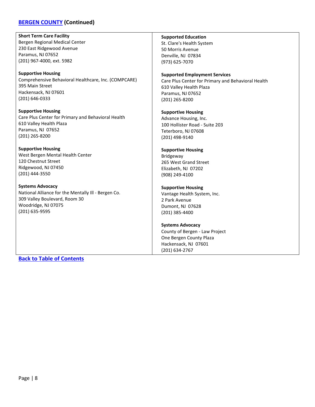### **[BERGEN COUNTY](#page-5-0) (Continued)**

**Short Term Care Facility** Bergen Regional Medical Center 230 East Ridgewood Avenue Paramus, NJ 07652 (201) 967-4000, ext. 5982

**Supportive Housing** Comprehensive Behavioral Healthcare, Inc. (COMPCARE) 395 Main Street Hackensack, NJ 07601 (201) 646-0333

**Supportive Housing** Care Plus Center for Primary and Behavioral Health 610 Valley Health Plaza Paramus, NJ 07652 (201) 265-8200

**Supportive Housing** West Bergen Mental Health Center 120 Chestnut Street Ridgewood, NJ 07450 (201) 444-3550

**Systems Advocacy** National Alliance for the Mentally Ill - Bergen Co. 309 Valley Boulevard, Room 30 Woodridge, NJ 07075 (201) 635-9595

**Supported Education**

St. Clare's Health System 50 Morris Avenue Denville, NJ 07834 (973) 625-7070

#### **Supported Employment Services**

Care Plus Center for Primary and Behavioral Health 610 Valley Health Plaza Paramus, NJ 07652 (201) 265-8200

#### **Supportive Housing**

Advance Housing, Inc. 100 Hollister Road - Suite 203 Teterboro, NJ 07608 (201) 498-9140

#### **Supportive Housing**

Bridgeway 265 West Grand Street Elizabeth, NJ 07202 (908) 249-4100

### **Supportive Housing**

Vantage Health System, Inc. 2 Park Avenue Dumont, NJ 07628 (201) 385-4400

#### **Systems Advocacy**

County of Bergen - Law Project One Bergen County Plaza Hackensack, NJ 07601 (201) 634-2767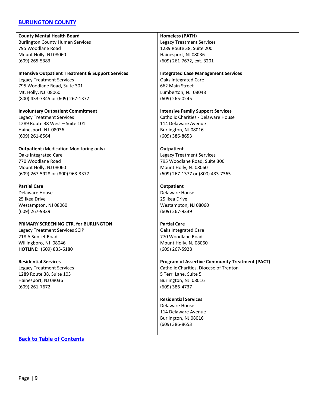### <span id="page-8-0"></span>**[BURLINGTON COUNTY](#page-8-0)**

**County Mental Health Board** Burlington County Human Services 795 Woodlane Road Mount Holly, NJ 08060 (609) 265-5383

### **Intensive Outpatient Treatment & Support Services**

Legacy Treatment Services 795 Woodlane Road, Suite 301 Mt. Holly, NJ 08060 (800) 433-7345 or (609) 267-1377

**Involuntary Outpatient Commitment** Legacy Treatment Services 1289 Route 38 West – Suite 101 Hainesport, NJ 08036 (609) 261-8564

**Outpatient** (Medication Monitoring only) Oaks Integrated Care 770 Woodlane Road Mount Holly, NJ 08060 (609) 267-5928 or (800) 963-3377

### **Partial Care**

Delaware House 25 Ikea Drive Westampton, NJ 08060 (609) 267-9339

### **PRIMARY SCREENING CTR. for BURLINGTON**

Legacy Treatment Services SCIP 218 A Sunset Road Willingboro, NJ 08046 **HOTLINE:** (609) 835-6180

**Residential Services**

Legacy Treatment Services 1289 Route 38, Suite 103 Hainesport, NJ 08036 (609) 261-7672

#### **Homeless (PATH)**

Legacy Treatment Services 1289 Route 38, Suite 200 Hainesport, NJ 08036 (609) 261-7672, ext. 3201

#### **Integrated Case Management Services**

Oaks Integrated Care 662 Main Street Lumberton, NJ 08048 (609) 265-0245

**Intensive Family Support Services**

Catholic Charities - Delaware House 114 Delaware Avenue Burlington, NJ 08016 (609) 386-8653

### **Outpatient**

Legacy Treatment Services 795 Woodlane Road, Suite 300 Mount Holly, NJ 08060 (609) 267-1377 or (800) 433-7365

#### **Outpatient**

Delaware House 25 Ikea Drive Westampton, NJ 08060 (609) 267-9339

### **Partial Care** Oaks Integrated Care 770 Woodlane Road Mount Holly, NJ 08060 (609) 267-5928

## **Program of Assertive Community Treatment (PACT)**

Catholic Charities, Diocese of Trenton 5 Terri Lane, Suite 5 Burlington, NJ 08016 (609) 386-4737

### **Residential Services**

Delaware House 114 Delaware Avenue Burlington, NJ 08016 (609) 386-8653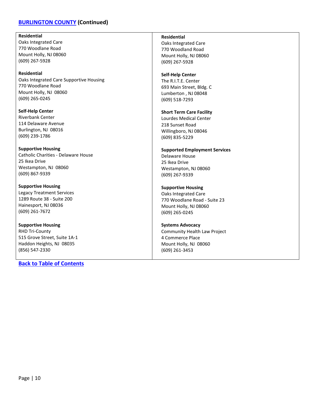### **[BURLINGTON COUNTY](#page-8-0) (Continued)**

#### **Residential**

Oaks Integrated Care 770 Woodlane Road Mount Holly, NJ 08060 (609) 267-5928

#### **Residential**

Oaks Integrated Care Supportive Housing 770 Woodlane Road Mount Holly, NJ 08060 (609) 265-0245

**Self-Help Center** Riverbank Center 114 Delaware Avenue Burlington, NJ 08016 (609) 239-1786

**Supportive Housing** Catholic Charities - Delaware House 25 Ikea Drive Westampton, NJ 08060 (609) 867-9339

**Supportive Housing** Legacy Treatment Services 1289 Route 38 - Suite 200 Hainesport, NJ 08036 (609) 261-7672

**Supportive Housing** RHD Tri-County 515 Grove Street, Suite 1A-1 Haddon Heights, NJ 08035 (856) 547-2330

**[Back to Table of Contents](#page-1-0)**

### **Residential**

Oaks Integrated Care 770 Woodland Road Mount Holly, NJ 08060 (609) 267-5928

### **Self-Help Center**

The R.I.T.E. Center 693 Main Street, Bldg. C Lumberton , NJ 08048 (609) 518-7293

#### **Short Term Care Facility**

Lourdes Medical Center 218 Sunset Road Willingboro, NJ 08046 (609) 835-5229

#### **Supported Employment Services**

Delaware House 25 Ikea Drive Westampton, NJ 08060 (609) 267-9339

### **Supportive Housing**

Oaks Integrated Care 770 Woodlane Road - Suite 23 Mount Holly, NJ 08060 (609) 265-0245

#### **Systems Advocacy**

Community Health Law Project 4 Commerce Place Mount Holly, NJ 08060 (609) 261-3453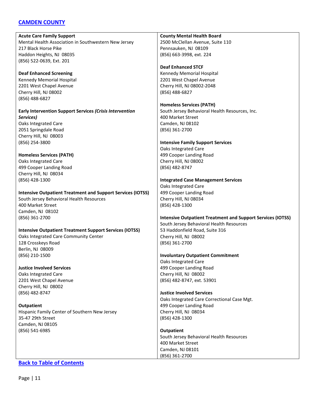### <span id="page-10-0"></span>**[CAMDEN COUNTY](#page-10-0)**

| <b>Acute Care Family Support</b>                                   | <b>County Mental Health Board</b>                                  |
|--------------------------------------------------------------------|--------------------------------------------------------------------|
| Mental Health Association in Southwestern New Jersey               | 2500 McClellan Avenue, Suite 110                                   |
| 217 Black Horse Pike                                               | Pennsauken, NJ 08109                                               |
| Haddon Heights, NJ 08035                                           | (856) 663-3998, ext. 224                                           |
| (856) 522-0639, Ext. 201                                           |                                                                    |
|                                                                    | <b>Deaf Enhanced STCF</b>                                          |
| <b>Deaf Enhanced Screening</b>                                     | Kennedy Memorial Hospital                                          |
| Kennedy Memorial Hospital                                          | 2201 West Chapel Avenue                                            |
| 2201 West Chapel Avenue                                            | Cherry Hill, NJ 08002-2048                                         |
| Cherry Hill, NJ 08002                                              | (856) 488-6827                                                     |
|                                                                    |                                                                    |
| (856) 488-6827                                                     |                                                                    |
|                                                                    | <b>Homeless Services (PATH)</b>                                    |
| Early Intervention Support Services (Crisis Intervention           | South Jersey Behavioral Health Resources, Inc.                     |
| Services)                                                          | 400 Market Street                                                  |
| Oaks Integrated Care                                               | Camden, NJ 08102                                                   |
| 2051 Springdale Road                                               | (856) 361-2700                                                     |
| Cherry Hill, NJ 08003                                              |                                                                    |
| (856) 254-3800                                                     | <b>Intensive Family Support Services</b>                           |
|                                                                    | Oaks Integrated Care                                               |
| <b>Homeless Services (PATH)</b>                                    | 499 Cooper Landing Road                                            |
| Oaks Integrated Care                                               | Cherry Hill, NJ 08002                                              |
| 499 Cooper Landing Road                                            | (856) 482-8747                                                     |
| Cherry Hill, NJ 08034                                              |                                                                    |
| (856) 428-1300                                                     | <b>Integrated Case Management Services</b>                         |
|                                                                    | Oaks Integrated Care                                               |
| <b>Intensive Outpatient Treatment and Support Services (IOTSS)</b> | 499 Cooper Landing Road                                            |
| South Jersey Behavioral Health Resources                           | Cherry Hill, NJ 08034                                              |
| 400 Market Street                                                  | (856) 428-1300                                                     |
| Camden, NJ 08102                                                   |                                                                    |
| (856) 361-2700                                                     | <b>Intensive Outpatient Treatment and Support Services (IOTSS)</b> |
|                                                                    | South Jersey Behavioral Health Resources                           |
| <b>Intensive Outpatient Treatment Support Services (IOTSS)</b>     | 53 Haddonfield Road, Suite 316                                     |
| Oaks Integrated Care Community Center                              | Cherry Hill, NJ 08002                                              |
| 128 Crosskeys Road                                                 | (856) 361-2700                                                     |
| Berlin, NJ 08009                                                   |                                                                    |
| (856) 210-1500                                                     | <b>Involuntary Outpatient Commitment</b>                           |
|                                                                    | Oaks Integrated Care                                               |
| <b>Justice Involved Services</b>                                   | 499 Cooper Landing Road                                            |
| Oaks Integrated Care                                               | Cherry Hill, NJ 08002                                              |
|                                                                    |                                                                    |
| 2201 West Chapel Avenue                                            | (856) 482-8747, ext. 53901                                         |
| Cherry Hill, NJ 08002                                              |                                                                    |
| (856) 482-8747                                                     | <b>Justice Involved Services</b>                                   |
|                                                                    | Oaks Integrated Care Correctional Case Mgt.                        |
| <b>Outpatient</b>                                                  | 499 Cooper Landing Road                                            |
| Hispanic Family Center of Southern New Jersey                      | Cherry Hill, NJ 08034                                              |
| 35-47 29th Street                                                  | (856) 428-1300                                                     |
| Camden, NJ 08105                                                   |                                                                    |
| (856) 541-6985                                                     | Outpatient                                                         |
|                                                                    | South Jersey Behavioral Health Resources                           |
|                                                                    | 400 Market Street                                                  |
|                                                                    | Camden, NJ 08101                                                   |
|                                                                    | (856) 361-2700                                                     |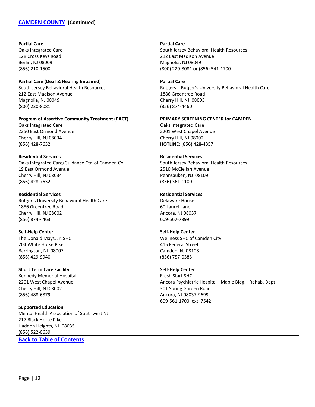# **[CAMDEN COUNTY](#page-10-0) (Continued)**

| <b>Partial Care</b>                                               | <b>Partial Care</b>                                      |
|-------------------------------------------------------------------|----------------------------------------------------------|
| Oaks Integrated Care                                              | South Jersey Behavioral Health Resources                 |
| 128 Cross Keys Road                                               | 212 East Madison Avenue                                  |
| Berlin, NJ 08009                                                  | Magnolia, NJ 08049                                       |
| (856) 210-1500                                                    | (800) 220-8081 or (856) 541-1700                         |
|                                                                   |                                                          |
| <b>Partial Care (Deaf &amp; Hearing Impaired)</b>                 | <b>Partial Care</b>                                      |
| South Jersey Behavioral Health Resources                          | Rutgers - Rutger's University Behavioral Health Care     |
| 212 East Madison Avenue                                           | 1886 Greentree Road                                      |
| Magnolia, NJ 08049                                                | Cherry Hill, NJ 08003                                    |
| (800) 220-8081                                                    | (856) 874-4460                                           |
| <b>Program of Assertive Community Treatment (PACT)</b>            | PRIMARY SCREENING CENTER for CAMDEN                      |
| Oaks Integrated Care                                              |                                                          |
| 2250 East Ormond Avenue                                           | Oaks Integrated Care<br>2201 West Chapel Avenue          |
|                                                                   | Cherry Hill, NJ 08002                                    |
| Cherry Hill, NJ 08034                                             | HOTLINE: (856) 428-4357                                  |
| (856) 428-7632                                                    |                                                          |
| <b>Residential Services</b>                                       | <b>Residential Services</b>                              |
| Oaks Integrated Care/Guidance Ctr. of Camden Co.                  | South Jersey Behavioral Health Resources                 |
| 19 East Ormond Avenue                                             | 2510 McClellan Avenue                                    |
| Cherry Hill, NJ 08034                                             | Pennsauken, NJ 08109                                     |
| (856) 428-7632                                                    | (856) 361-1100                                           |
|                                                                   |                                                          |
|                                                                   |                                                          |
| <b>Residential Services</b>                                       | <b>Residential Services</b>                              |
|                                                                   | Delaware House                                           |
| Rutger's University Behavioral Health Care<br>1886 Greentree Road | 60 Laurel Lane                                           |
|                                                                   |                                                          |
| Cherry Hill, NJ 08002                                             | Ancora, NJ 08037<br>609-567-7899                         |
| (856) 874-4463                                                    |                                                          |
| <b>Self-Help Center</b>                                           | <b>Self-Help Center</b>                                  |
| The Donald Mays, Jr. SHC                                          | Wellness SHC of Camden City                              |
| 204 White Horse Pike                                              | 415 Federal Street                                       |
| Barrington, NJ 08007                                              | Camden, NJ 08103                                         |
| (856) 429-9940                                                    | (856) 757-0385                                           |
|                                                                   |                                                          |
| <b>Short Term Care Facility</b>                                   | <b>Self-Help Center</b>                                  |
| Kennedy Memorial Hospital                                         | Fresh Start SHC                                          |
| 2201 West Chapel Avenue                                           | Ancora Psychiatric Hospital - Maple Bldg. - Rehab. Dept. |
| Cherry Hill, NJ 08002                                             | 301 Spring Garden Road                                   |
| (856) 488-6879                                                    | Ancora, NJ 08037-9699                                    |
|                                                                   | 609-561-1700, ext. 7542                                  |
| <b>Supported Education</b>                                        |                                                          |
| Mental Health Association of Southwest NJ                         |                                                          |
| 217 Black Horse Pike                                              |                                                          |
| Haddon Heights, NJ 08035                                          |                                                          |
| (856) 522-0639<br><b>Back to Table of Contents</b>                |                                                          |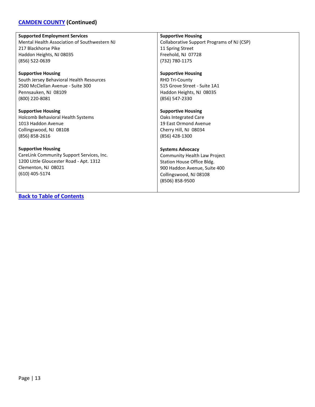# **[CAMDEN COUNTY](#page-10-0) (Continued)**

| <b>Supported Employment Services</b>         | <b>Supportive Housing</b>                  |
|----------------------------------------------|--------------------------------------------|
| Mental Health Association of Southwestern NJ | Collaborative Support Programs of NJ (CSP) |
| 217 Blackhorse Pike                          | 11 Spring Street                           |
| Haddon Heights, NJ 08035                     | Freehold, NJ 07728                         |
| (856) 522-0639                               | (732) 780-1175                             |
| <b>Supportive Housing</b>                    | <b>Supportive Housing</b>                  |
| South Jersey Behavioral Health Resources     | <b>RHD Tri-County</b>                      |
| 2500 McClellan Avenue - Suite 300            | 515 Grove Street - Suite 1A1               |
| Pennsauken, NJ 08109                         | Haddon Heights, NJ 08035                   |
| (800) 220-8081                               | (856) 547-2330                             |
| <b>Supportive Housing</b>                    | <b>Supportive Housing</b>                  |
| <b>Holcomb Behavioral Health Systems</b>     | Oaks Integrated Care                       |
| 1013 Haddon Avenue                           | 19 East Ormond Avenue                      |
| Collingswood, NJ 08108                       | Cherry Hill, NJ 08034                      |
| (856) 858-2616                               | (856) 428-1300                             |
| <b>Supportive Housing</b>                    | <b>Systems Advocacy</b>                    |
| CareLink Community Support Services, Inc.    | Community Health Law Project               |
| 1200 Little Gloucester Road - Apt. 1312      | Station House Office Bldg.                 |
| Clementon, NJ 08021                          | 900 Haddon Avenue, Suite 400               |
| $(610)$ 405-5174                             | Collingswood, NJ 08108                     |
|                                              | (8506) 858-9500                            |
|                                              |                                            |
| <b>Back to Table of Contents</b>             |                                            |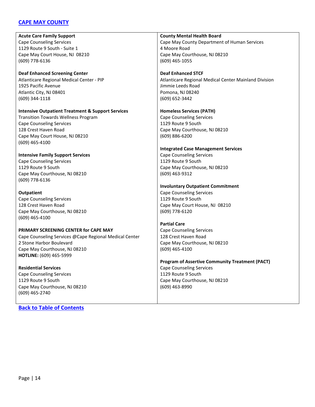### <span id="page-13-0"></span>**[CAPE MAY COUNTY](#page-13-0)**

**Acute Care Family Support** Cape Counseling Services 1129 Route 9 South - Suite 1 Cape May Court House, NJ 08210 (609) 778-6136

**Deaf Enhanced Screening Center** Atlanticare Regional Medical Center - PIP 1925 Pacific Avenue Atlantic City, NJ 08401 (609) 344-1118

**Intensive Outpatient Treatment & Support Services** Transition Towards Wellness Program Cape Counseling Services 128 Crest Haven Road Cape May Court House, NJ 08210

**Intensive Family Support Services** Cape Counseling Services 1129 Route 9 South Cape May Courthouse, NJ 08210 (609) 778-6136

#### **Outpatient**

(609) 465-4100

Cape Counseling Services 128 Crest Haven Road Cape May Courthouse, NJ 08210 (609) 465-4100

**PRIMARY SCREENING CENTER for CAPE MAY**

Cape Counseling Services @Cape Regional Medical Center 2 Stone Harbor Boulevard Cape May Courthouse, NJ 08210 **HOTLINE:** (609) 465-5999

**Residential Services** Cape Counseling Services 1129 Route 9 South Cape May Courthouse, NJ 08210 (609) 465-2740

**[Back to Table of Contents](#page-1-0)**

**County Mental Health Board** Cape May County Department of Human Services 4 Moore Road Cape May Courthouse, NJ 08210 (609) 465-1055

**Deaf Enhanced STCF** Atlanticare Regional Medical Center Mainland Division Jimmie Leeds Road Pomona, NJ 08240 (609) 652-3442

**Homeless Services (PATH)** Cape Counseling Services

1129 Route 9 South Cape May Courthouse, NJ 08210 (609) 886-6200

#### **Integrated Case Management Services**

Cape Counseling Services 1129 Route 9 South Cape May Courthouse, NJ 08210 (609) 463-9312

### **Involuntary Outpatient Commitment**

Cape Counseling Services 1129 Route 9 South Cape May Court House, NJ 08210 (609) 778-6120

### **Partial Care**

Cape Counseling Services 128 Crest Haven Road Cape May Courthouse, NJ 08210 (609) 465-4100

**Program of Assertive Community Treatment (PACT)** Cape Counseling Services 1129 Route 9 South Cape May Courthouse, NJ 08210 (609) 463-8990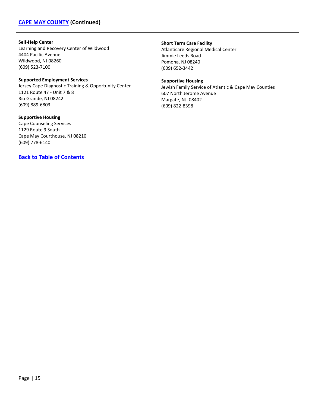# **[CAPE MAY COUNTY](#page-13-0) (Continued)**

| <b>Self-Help Center</b>                                                                                                        | <b>Short Term Care Facility</b>                       |
|--------------------------------------------------------------------------------------------------------------------------------|-------------------------------------------------------|
| Learning and Recovery Center of Wildwood                                                                                       | Atlanticare Regional Medical Center                   |
| 4404 Pacific Avenue                                                                                                            | Jimmie Leeds Road                                     |
| Wildwood, NJ 08260                                                                                                             | Pomona, NJ 08240                                      |
| (609) 523-7100                                                                                                                 | (609) 652-3442                                        |
| <b>Supported Employment Services</b>                                                                                           | <b>Supportive Housing</b>                             |
| Jersey Cape Diagnostic Training & Opportunity Center                                                                           | Jewish Family Service of Atlantic & Cape May Counties |
| 1121 Route 47 - Unit 7 & 8                                                                                                     | 607 North Jerome Avenue                               |
| Rio Grande, NJ 08242                                                                                                           | Margate, NJ 08402                                     |
| $(609)$ 889-6803                                                                                                               | (609) 822-8398                                        |
| <b>Supportive Housing</b><br>Cape Counseling Services<br>1129 Route 9 South<br>Cape May Courthouse, NJ 08210<br>(609) 778-6140 |                                                       |

 $\mathsf{l}$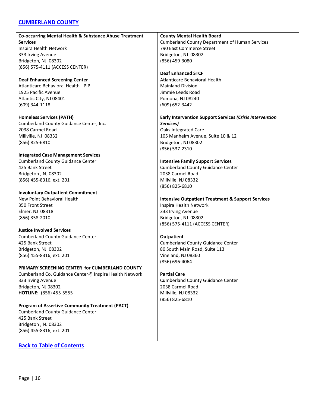### <span id="page-15-0"></span>**[CUMBERLAND COUNTY](#page-15-0)**

| Co-occurring Mental Health & Substance Abuse Treatment | <b>County Mental Health Board</b>                            |
|--------------------------------------------------------|--------------------------------------------------------------|
| <b>Services</b>                                        | <b>Cumberland County Department of Human Services</b>        |
| Inspira Health Network                                 | 790 East Commerce Street                                     |
| 333 Irving Avenue                                      | Bridgeton, NJ 08302                                          |
| Bridgeton, NJ 08302                                    | (856) 459-3080                                               |
| (856) 575-4111 (ACCESS CENTER)                         |                                                              |
|                                                        | <b>Deaf Enhanced STCF</b>                                    |
| <b>Deaf Enhanced Screening Center</b>                  | Atlanticare Behavioral Health                                |
| Atlanticare Behavioral Health - PIP                    | <b>Mainland Division</b>                                     |
| 1925 Pacific Avenue                                    | Jimmie Leeds Road                                            |
| Atlantic City, NJ 08401                                | Pomona, NJ 08240                                             |
| (609) 344-1118                                         | (609) 652-3442                                               |
|                                                        |                                                              |
| <b>Homeless Services (PATH)</b>                        | Early Intervention Support Services (Crisis Intervention     |
| Cumberland County Guidance Center, Inc.                | Services)                                                    |
| 2038 Carmel Road                                       | Oaks Integrated Care                                         |
| Millville, NJ 08332                                    | 105 Manheim Avenue, Suite 10 & 12                            |
| (856) 825-6810                                         | Bridgeton, NJ 08302                                          |
|                                                        | (856) 537-2310                                               |
| <b>Integrated Case Management Services</b>             |                                                              |
| <b>Cumberland County Guidance Center</b>               | <b>Intensive Family Support Services</b>                     |
| 425 Bank Street                                        | <b>Cumberland County Guidance Center</b>                     |
| Bridgeton, NJ 08302                                    | 2038 Carmel Road                                             |
|                                                        | Millville, NJ 08332                                          |
| (856) 455-8316, ext. 201                               |                                                              |
|                                                        | (856) 825-6810                                               |
| <b>Involuntary Outpatient Commitment</b>               |                                                              |
| New Point Behavioral Health                            | <b>Intensive Outpatient Treatment &amp; Support Services</b> |
| 350 Front Street                                       | Inspira Health Network                                       |
| Elmer, NJ 08318                                        | 333 Irving Avenue                                            |
| (856) 358-2010                                         | Bridgeton, NJ 08302                                          |
|                                                        | (856) 575-4111 (ACCESS CENTER)                               |
| <b>Justice Involved Services</b>                       |                                                              |
| <b>Cumberland County Guidance Center</b>               | <b>Outpatient</b>                                            |
| 425 Bank Street                                        | <b>Cumberland County Guidance Center</b>                     |
| Bridgeton, NJ 08302                                    | 80 South Main Road, Suite 113                                |
| (856) 455-8316, ext. 201                               | Vineland, NJ 08360                                           |
|                                                        | (856) 696-4064                                               |
| PRIMARY SCREENING CENTER for CUMBERLAND COUNTY         |                                                              |
| Cumberland Co. Guidance Center@ Inspira Health Network | <b>Partial Care</b>                                          |
| 333 Irving Avenue                                      | <b>Cumberland County Guidance Center</b>                     |
| Bridgeton, NJ 08302                                    | 2038 Carmel Road                                             |
| HOTLINE: (856) 455-5555                                | Millville, NJ 08332                                          |
|                                                        | (856) 825-6810                                               |
| <b>Program of Assertive Community Treatment (PACT)</b> |                                                              |
| <b>Cumberland County Guidance Center</b>               |                                                              |
| 425 Bank Street                                        |                                                              |
| Bridgeton, NJ 08302                                    |                                                              |
| (856) 455-8316, ext. 201                               |                                                              |
|                                                        |                                                              |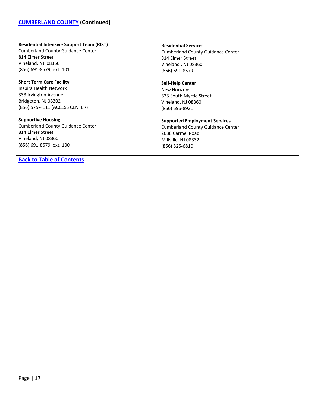#### **Residential Intensive Support Team (RIST)**

Cumberland County Guidance Center 814 Elmer Street Vineland, NJ 08360 (856) 691-8579, ext. 101

**Short Term Care Facility** Inspira Health Network 333 Irvington Avenue Bridgeton, NJ 08302 (856) 575-4111 (ACCESS CENTER)

**Supportive Housing** Cumberland County Guidance Center 814 Elmer Street Vineland, NJ 08360 (856) 691-8579, ext. 100

**[Back to Table of Contents](#page-1-0)**

### **Residential Services**

Cumberland County Guidance Center 814 Elmer Street Vineland , NJ 08360 (856) 691-8579

#### **Self-Help Center**

New Horizons 635 South Myrtle Street Vineland, NJ 08360 (856) 696-8921

#### **Supported Employment Services**

Cumberland County Guidance Center 2038 Carmel Road Millville, NJ 08332 (856) 825-6810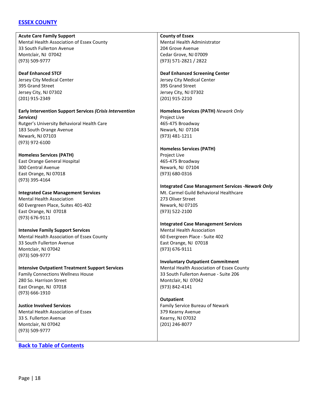### <span id="page-17-0"></span>**[ESSEX COUNTY](#page-17-0)**

**Acute Care Family Support** Mental Health Association of Essex County 33 South Fullerton Avenue Montclair, NJ 07042 (973) 509-9777

**Deaf Enhanced STCF** Jersey City Medical Center 395 Grand Street Jersey City, NJ 07302 (201) 915-2349

**Early Intervention Support Services** *(Crisis Intervention Services)* Rutger's University Behavioral Health Care 183 South Orange Avenue Newark, NJ 07103

(973) 972-6100 **Homeless Services (PATH)** East Orange General Hospital 300 Central Avenue East Orange, NJ 07018 (973) 395-4164

**Integrated Case Management Services** Mental Health Association 60 Evergreen Place, Suites 401-402 East Orange, NJ 07018 (973) 676-9111

**Intensive Family Support Services** Mental Health Association of Essex County 33 South Fullerton Avenue Montclair, NJ 07042 (973) 509-9777

**Intensive Outpatient Treatment Support Services** Family Connections Wellness House 280 So. Harrison Street East Orange, NJ 07018 (973) 666-1910

**Justice Involved Services** Mental Health Association of Essex 33 S. Fullerton Avenue Montclair, NJ 07042 (973) 509-9777

**[Back to Table of Contents](#page-1-0)**

#### **County of Essex**

Mental Health Administrator 204 Grove Avenue Cedar Grove, NJ 07009 (973) 571-2821 / 2822

### **Deaf Enhanced Screening Center**

Jersey City Medical Center 395 Grand Street Jersey City, NJ 07302 (201) 915-2210

**Homeless Services (PATH)** *Newark Only*

Project Live 465-475 Broadway Newark, NJ 07104 (973) 481-1211

#### **Homeless Services (PATH)**

Project Live 465-475 Broadway Newark, NJ 07104 (973) 680-0316

### **Integrated Case Management Services -***Newark Only*

Mt. Carmel Guild Behavioral Healthcare 273 Oliver Street Newark, NJ 07105 (973) 522-2100

#### **Integrated Case Management Services** Mental Health Association

60 Evergreen Place - Suite 402 East Orange, NJ 07018 (973) 676-9111

**Involuntary Outpatient Commitment**

Mental Health Association of Essex County 33 South Fullerton Avenue - Suite 206 Montclair, NJ 07042 (973) 842-4141

**Outpatient** Family Service Bureau of Newark 379 Kearny Avenue Kearny, NJ 07032 (201) 246-8077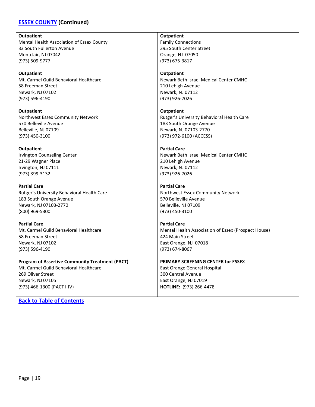### **[ESSEX COUNTY](#page-17-0) (Continued)**

**Outpatient** Mental Health Association of Essex County 33 South Fullerton Avenue Montclair, NJ 07042 (973) 509-9777

**Outpatient** Mt. Carmel Guild Behavioral Healthcare 58 Freeman Street Newark, NJ 07102 (973) 596-4190

**Outpatient** Northwest Essex Community Network 570 Belleville Avenue Belleville, NJ 07109 (973) 450-3100

**Outpatient** Irvington Counseling Center 21-29 Wagner Place Irvington, NJ 07111 (973) 399-3132

**Partial Care** Rutger's University Behavioral Health Care 183 South Orange Avenue Newark, NJ 07103-2770 (800) 969-5300

**Partial Care** Mt. Carmel Guild Behavioral Healthcare 58 Freeman Street Newark, NJ 07102 (973) 596-4190

#### **Program of Assertive Community Treatment (PACT)** Mt. Carmel Guild Behavioral Healthcare

269 Oliver Street Newark, NJ 07105 (973) 466-1300 (PACT I-IV)

**[Back to Table of Contents](#page-1-0)**

### **Outpatient**

Family Connections 395 South Center Street Orange, NJ 07050 (973) 675-3817

#### **Outpatient**

Newark Beth Israel Medical Center CMHC 210 Lehigh Avenue Newark, NJ 07112 (973) 926-7026

**Outpatient** Rutger's University Behavioral Health Care 183 South Orange Avenue Newark, NJ 07103-2770 (973) 972-6100 (ACCESS)

#### **Partial Care**

Newark Beth Israel Medical Center CMHC 210 Lehigh Avenue Newark, NJ 07112 (973) 926-7026

### **Partial Care**

Northwest Essex Community Network 570 Belleville Avenue Belleville, NJ 07109 (973) 450-3100

**Partial Care** Mental Health Association of Essex (Prospect House) 424 Main Street East Orange, NJ 07018 (973) 674-8067

### **PRIMARY SCREENING CENTER for ESSEX**

East Orange General Hospital 300 Central Avenue East Orange, NJ 07019 **HOTLINE:** (973) 266-4478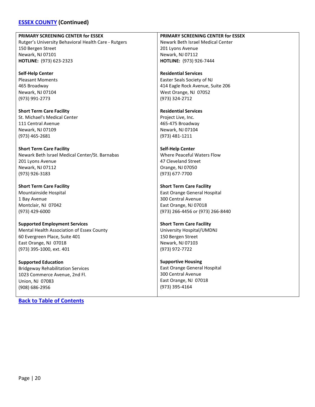### **[ESSEX COUNTY](#page-17-0) (Continued)**

#### **PRIMARY SCREENING CENTER for ESSEX**

Rutger's University Behavioral Health Care - Rutgers 150 Bergen Street Newark, NJ 07101 **HOTLINE:** (973) 623-2323

**Self-Help Center** Pleasant Moments 465 Broadway Newark, NJ 07104 (973) 991-2773

**Short Term Care Facility** St. Michael's Medical Center 111 Central Avenue Newark, NJ 07109 (973) 465-2681

**Short Term Care Facility** Newark Beth Israel Medical Center/St. Barnabas 201 Lyons Avenue Newark, NJ 07112 (973) 926-3183

**Short Term Care Facility** Mountainside Hospital 1 Bay Avenue Montclair, NJ 07042 (973) 429-6000

**Supported Employment Services** Mental Health Association of Essex County 60 Evergreen Place, Suite 401 East Orange, NJ 07018 (973) 395-1000, ext. 401

**Supported Education** Bridgeway Rehabilitation Services 1023 Commerce Avenue, 2nd Fl. Union, NJ 07083 (908) 686-2956

**[Back to Table of Contents](#page-1-0)**

**PRIMARY SCREENING CENTER for ESSEX** Newark Beth Israel Medical Center 201 Lyons Avenue Newark, NJ 07112 **HOTLINE:** (973) 926-7444

**Residential Services** Easter Seals Society of NJ 414 Eagle Rock Avenue, Suite 206 West Orange, NJ 07052 (973) 324-2712

**Residential Services** Project Live, Inc. 465-475 Broadway Newark, NJ 07104 (973) 481-1211

#### **Self-Help Center** Where Peaceful Waters Flow 47 Cleveland Street Orange, NJ 07050 (973) 677-7700

**Short Term Care Facility** East Orange General Hospital 300 Central Avenue East Orange, NJ 07018 (973) 266-4456 or (973) 266-8440

**Short Term Care Facility** University Hospital/UMDNJ 150 Bergen Street Newark, NJ 07103

(973) 972-7722

**Supportive Housing** East Orange General Hospital 300 Central Avenue East Orange, NJ 07018 (973) 395-4164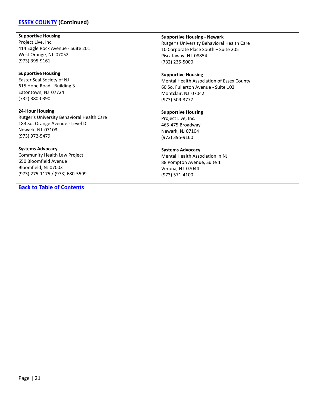### **[ESSEX COUNTY](#page-17-0) (Continued)**

**Supportive Housing** Project Live, Inc. 414 Eagle Rock Avenue - Suite 201 West Orange, NJ 07052 (973) 395-9161

**Supportive Housing** Easter Seal Society of NJ 615 Hope Road - Building 3 Eatontown, NJ 07724 (732) 380-0390

**24-Hour Housing** Rutger's University Behavioral Health Care 183 So. Orange Avenue - Level D Newark, NJ 07103 (973) 972-5479

**Systems Advocacy** Community Health Law Project 650 Bloomfield Avenue Bloomfield, NJ 07003 (973) 275-1175 / (973) 680-5599

**[Back to Table of Contents](#page-1-0)**

**Supportive Housing - Newark** Rutger's University Behavioral Health Care 10 Corporate Place South – Suite 205 Piscataway, NJ 08854 (732) 235-5000

**Supportive Housing** Mental Health Association of Essex County 60 So. Fullerton Avenue - Suite 102 Montclair, NJ 07042 (973) 509-3777

**Supportive Housing** Project Live, Inc. 465-475 Broadway Newark, NJ 07104 (973) 395-9160

**Systems Advocacy** Mental Health Association in NJ 88 Pompton Avenue, Suite 1 Verona, NJ 07044 (973) 571-4100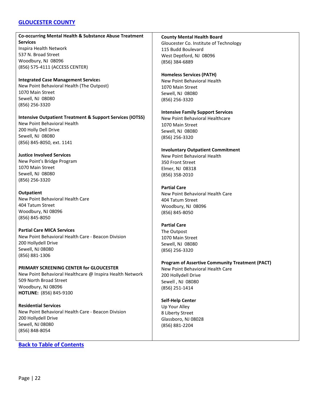### <span id="page-21-0"></span>**[GLOUCESTER COUNTY](#page-21-0)**

# **Co-occurring Mental Health & Substance Abuse Treatment Services**

Inspira Health Network 537 N. Broad Street Woodbury, NJ 08096 (856) 575-4111 (ACCESS CENTER)

### **Integrated Case Management Service**s New Point Behavioral Health (The Outpost) 1070 Main Street Sewell, NJ 08080 (856) 256-3320

#### **Intensive Outpatient Treatment & Support Services (IOTSS)**

New Point Behavioral Health 200 Holly Dell Drive Sewell, NJ 08080 (856) 845-8050, ext. 1141

### **Justice Involved Services**

New Point's Bridge Program 1070 Main Street Sewell, NJ 08080 (856) 256-3320

### **Outpatient**

New Point Behavioral Health Care 404 Tatum Street Woodbury, NJ 08096 (856) 845-8050

### **Partial Care MICA Services**

New Point Behavioral Health Care - Beacon Division 200 Hollydell Drive Sewell, NJ 08080 (856) 881-1306

# **PRIMARY SCREENING CENTER for GLOUCESTER**

New Point Behavioral Healthcare @ Inspira Health Network 509 North Broad Street Woodbury, NJ 08096 **HOTLINE:** (856) 845-9100

**Residential Services** New Point Behavioral Health Care - Beacon Division 200 Hollydell Drive Sewell, NJ 08080 (856) 848-8054

# **[Back to Table of Contents](#page-1-0)**

### **County Mental Health Board**

Gloucester Co. Institute of Technology 115 Budd Boulevard West Deptford, NJ 08096 (856) 384-6889

### **Homeless Services (PATH)**

New Point Behavioral Health 1070 Main Street Sewell, NJ 08080 (856) 256-3320

### **Intensive Family Support Services**

New Point Behavioral Healthcare 1070 Main Street Sewell, NJ 08080 (856) 256-3320

### **Involuntary Outpatient Commitment**

New Point Behavioral Health 350 Front Street Elmer, NJ 08318 (856) 358-2010

### **Partial Care**

New Point Behavioral Health Care 404 Tatum Street Woodbury, NJ 08096 (856) 845-8050

### **Partial Care**

The Outpost 1070 Main Street Sewell, NJ 08080 (856) 256-3320

## **Program of Assertive Community Treatment (PACT)**

New Point Behavioral Health Care 200 Hollydell Drive Sewell , NJ 08080 (856) 251-1414

### **Self-Help Center**

Up Your Alley 8 Liberty Street Glassboro, NJ 08028 (856) 881-2204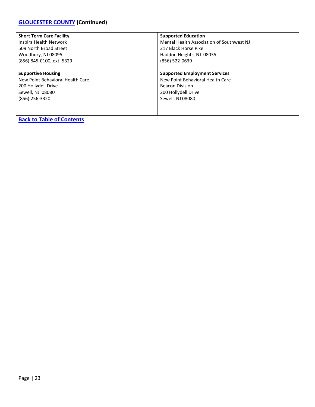# **[GLOUCESTER COUNTY](#page-21-0) (Continued)**

| <b>Short Term Care Facility</b>  | <b>Supported Education</b>                |
|----------------------------------|-------------------------------------------|
| Inspira Health Network           | Mental Health Association of Southwest NJ |
| 509 North Broad Street           | 217 Black Horse Pike                      |
| Woodbury, NJ 08095               | Haddon Heights, NJ 08035                  |
| (856) 845-0100, ext. 5329        | (856) 522-0639                            |
|                                  |                                           |
| <b>Supportive Housing</b>        | <b>Supported Employment Services</b>      |
| New Point Behavioral Health Care | New Point Behavioral Health Care          |
| 200 Hollydell Drive              | <b>Beacon Division</b>                    |
| Sewell, NJ 08080                 | 200 Hollydell Drive                       |
| (856) 256-3320                   | Sewell, NJ 08080                          |
|                                  |                                           |
|                                  |                                           |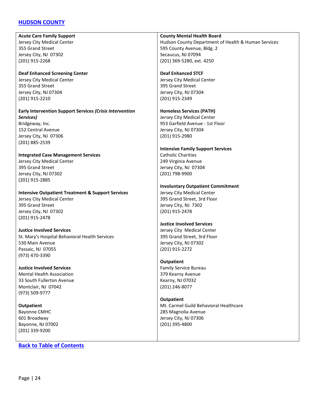### <span id="page-23-0"></span>**[HUDSON COUNTY](#page-23-0)**

**Acute Care Family Support** Jersey City Medical Center 355 Grand Street Jersey City, NJ 07302 (201) 915-2268

**Deaf Enhanced Screening Center** Jersey City Medical Center 355 Grand Street Jersey City, NJ 07304 (201) 915-2210

**Early Intervention Support Services** *(Crisis Intervention Services)* Bridgeway, Inc. 152 Central Avenue

Jersey City, NJ 07306 (201) 885-2539

**Integrated Case Management Services** Jersey City Medical Center 395 Grand Street Jersey City, NJ 07302 (201) 915-2885

**Intensive Outpatient Treatment & Support Services**

Jersey City Medical Center 395 Grand Street Jersey City, NJ 07302 (201) 915-2478

**Justice Involved Services** St. Mary's Hospital Behavioral Health Services 530 Main Avenue Passaic, NJ 07055 (973) 470-3390

**Justice Involved Services** Mental Health Association 33 South Fullerton Avenue Montclair, NJ 07042 (973) 509-9777

**Outpatient** Bayonne CMHC 601 Broadway Bayonne, NJ 07002 (201) 339-9200

**[Back to Table of Contents](#page-1-0)**

**County Mental Health Board** Hudson County Department of Health & Human Services 595 County Avenue, Bldg. 2 Secaucus, NJ 07094 (201) 369-5280, ext. 4250

**Deaf Enhanced STCF** Jersey City Medical Center 395 Grand Street Jersey City, NJ 07304 (201) 915-2349

**Homeless Services (PATH)** Jersey City Medical Center 953 Garfield Avenue - 1st Floor Jersey City, NJ 07304 (201) 915-2980

**Intensive Family Support Services** Catholic Charities 249 Virginia Avenue Jersey City, NJ 07304 (201) 798-9900

**Involuntary Outpatient Commitment** Jersey City Medical Center 395 Grand Street, 3rd Floor Jersey City, NJ 7302 (201) 915-2478

# **Justice Involved Services**

Jersey City Medical Center 395 Grand Street, 3rd Floor Jersey City, NJ 07302 (201) 915-2272

### **Outpatient**

Family Service Bureau 379 Kearny Avenue Kearny, NJ 07032 (201) 246-8077

**Outpatient** Mt. Carmel Guild Behavioral Healthcare 285 Magnolia Avenue Jersey City, NJ 07306 (201) 395-4800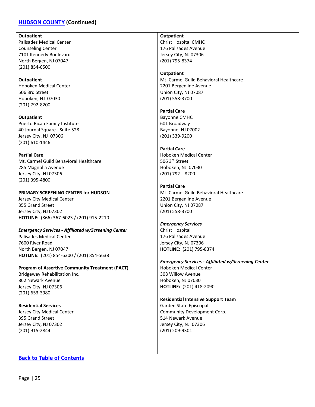### **[HUDSON COUNTY](#page-23-0) (Continued)**

**Outpatient**

Palisades Medical Center Counseling Center 7101 Kennedy Boulevard North Bergen, NJ 07047 (201) 854-0500

**Outpatient** Hoboken Medical Center 506 3rd Street Hoboken, NJ 07030 (201) 792-8200

**Outpatient** Puerto Rican Family Institute 40 Journal Square - Suite 528 Jersey City, NJ 07306 (201) 610-1446

**Partial Care** Mt. Carmel Guild Behavioral Healthcare 285 Magnolia Avenue Jersey City, NJ 07306 (201) 395-4800

**PRIMARY SCREENING CENTER for HUDSON** Jersey City Medical Center 355 Grand Street Jersey City, NJ 07302 **HOTLINE:** (866) 367-6023 / (201) 915-2210

*Emergency Services - Affiliated w/Screening Center* Palisades Medical Center 7600 River Road North Bergen, NJ 07047 **HOTLINE:** (201) 854-6300 / (201) 854-5638

**Program of Assertive Community Treatment (PACT)** Bridgeway Rehabilitation Inc. 862 Newark Avenue Jersey City, NJ 07306 (201) 653-3980

**Residential Services** Jersey City Medical Center 395 Grand Street Jersey City, NJ 07302 (201) 915-2844

**[Back to Table of Contents](#page-1-0)**

**Outpatient** Christ Hospital CMHC 176 Palisades Avenue Jersey City, NJ 07306 (201) 795-8374

**Outpatient** Mt. Carmel Guild Behavioral Healthcare 2201 Bergenline Avenue Union City, NJ 07087 (201) 558-3700

**Partial Care** Bayonne CMHC 601 Broadway Bayonne, NJ 07002 (201) 339-9200

**Partial Care** Hoboken Medical Center 506 3rd Street Hoboken, NJ 07030 (201) 792—8200

**Partial Care** Mt. Carmel Guild Behavioral Healthcare 2201 Bergenline Avenue Union City, NJ 07087 (201) 558-3700

*Emergency Services* Christ Hospital 176 Palisades Avenue Jersey City, NJ 07306 **HOTLINE:** (201) 795-8374

*Emergency Services - Affiliated w/Screening Center* Hoboken Medical Center 308 Willow Avenue Hoboken, NJ 07030 **HOTLINE:** (201) 418-2090

**Residential Intensive Support Team** Garden State Episcopal Community Development Corp. 514 Newark Avenue Jersey City, NJ 07306 (201) 209-9301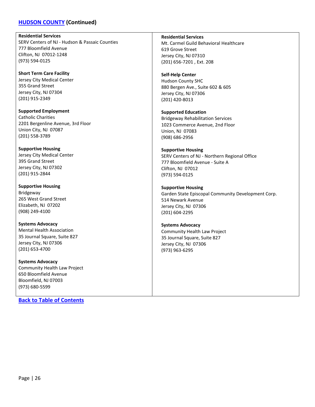### **[HUDSON COUNTY](#page-23-0) (Continued)**

**Residential Services**

SERV Centers of NJ - Hudson & Passaic Counties 777 Bloomfield Avenue Clifton, NJ 07012-1248 (973) 594-0125

**Short Term Care Facility** Jersey City Medical Center 355 Grand Street Jersey City, NJ 07304 (201) 915-2349

**Supported Employment** Catholic Charities 2201 Bergenline Avenue, 3rd Floor Union City, NJ 07087 (201) 558-3789

**Supportive Housing** Jersey City Medical Center 395 Grand Street Jersey City, NJ 07302 (201) 915-2844

**Supportive Housing** Bridgeway 265 West Grand Street Elizabeth, NJ 07202 (908) 249-4100

**Systems Advocacy** Mental Health Association 35 Journal Square, Suite 827 Jersey City, NJ 07306 (201) 653-4700

**Systems Advocacy** Community Health Law Project 650 Bloomfield Avenue Bloomfield, NJ 07003 (973) 680-5599

**[Back to Table of Contents](#page-1-0)**

**Residential Services** Mt. Carmel Guild Behavioral Healthcare 619 Grove Street Jersey City, NJ 07310 (201) 656-7201 , Ext. 208

**Self-Help Center** Hudson County SHC 880 Bergen Ave., Suite 602 & 605 Jersey City, NJ 07306 (201) 420-8013

**Supported Education** Bridgeway Rehabilitation Services 1023 Commerce Avenue, 2nd Floor Union, NJ 07083 (908) 686-2956

## **Supportive Housing** SERV Centers of NJ - Northern Regional Office 777 Bloomfield Avenue - Suite A

Clifton, NJ 07012 (973) 594-0125

**Supportive Housing**

Garden State Episcopal Community Development Corp. 514 Newark Avenue Jersey City, NJ 07306 (201) 604-2295

**Systems Advocacy**

Community Health Law Project 35 Journal Square, Suite 827 Jersey City, NJ 07306 (973) 963-6295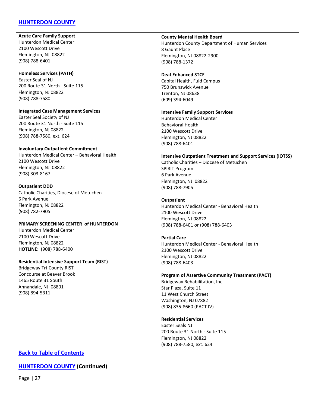### <span id="page-26-0"></span>**[HUNTERDON COUNTY](#page-26-0)**

**Acute Care Family Support** Hunterdon Medical Center 2100 Wescott Drive Flemington, NJ 08822 (908) 788-6401

#### **Homeless Services (PATH)** Easter Seal of NJ 200 Route 31 North - Suite 115 Flemington, NJ 08822

(908) 788-7580

**Integrated Case Management Services** Easter Seal Society of NJ 200 Route 31 North - Suite 115 Flemington, NJ 08822 (908) 788-7580, ext. 624

#### **Involuntary Outpatient Commitment**

Hunterdon Medical Center – Behavioral Health 2100 Wescott Drive Flemington, NJ 08822 (908) 303-8167

#### **Outpatient DDD**

Catholic Charities, Diocese of Metuchen 6 Park Avenue Flemington, NJ 08822 (908) 782-7905

#### **PRIMARY SCREENING CENTER of HUNTERDON**

Hunterdon Medical Center 2100 Wescott Drive Flemington, NJ 08822 **HOTLINE:** (908) 788-6400

### **Residential Intensive Support Team (RIST)** Bridgeway Tri-County RIST

Concourse at Beaver Brook 1465 Route 31 South Annandale, NJ 08801 (908) 894-5311

### **County Mental Health Board** Hunterdon County Department of Human Services 8 Gaunt Place Flemington, NJ 08822-2900 (908) 788-1372

#### **Deaf Enhanced STCF** Capital Health, Fuld Campus 750 Brunswick Avenue Trenton, NJ 08638 (609) 394-6049

#### **Intensive Family Support Services**

Hunterdon Medical Center Behavioral Health 2100 Wescott Drive Flemington, NJ 08822 (908) 788-6401

#### **Intensive Outpatient Treatment and Support Services (IOTSS)**

Catholic Charities – Diocese of Metuchen SPIRIT Program 6 Park Avenue Flemington, NJ 08822 (908) 788-7905

#### **Outpatient**

Hunterdon Medical Center - Behavioral Health 2100 Wescott Drive Flemington, NJ 08822 (908) 788-6401 or (908) 788-6403

#### **Partial Care**

Hunterdon Medical Center - Behavioral Health 2100 Wescott Drive Flemington, NJ 08822 (908) 788-6403

### **Program of Assertive Community Treatment (PACT)** Bridgeway Rehabilitation, Inc. Star Plaza, Suite 11 11 West Church Street Washington, NJ 07882

(908) 835-8660 (PACT IV)

### **Residential Services**

Easter Seals NJ 200 Route 31 North - Suite 115 Flemington, NJ 08822 (908) 788-7580, ext. 624

### **[Back to Table of Contents](#page-1-0)**

### **[HUNTERDON COUNTY](#page-26-0) (Continued)**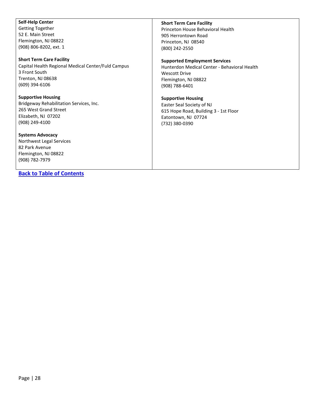Getting Together 52 E. Main Street Flemington, NJ 08822 (908) 806-8202, ext. 1

**Self-Help Center**

### **Short Term Care Facility**

Capital Health Regional Medical Center/Fuld Campus 3 Front South Trenton, NJ 08638 (609) 394-6106

#### **Supportive Housing**

Bridgeway Rehabilitation Services, Inc. 265 West Grand Street Elizabeth, NJ 07202 (908) 249-4100

#### **Systems Advocacy**

Northwest Legal Services 82 Park Avenue Flemington, NJ 08822 (908) 782-7979

### **[Back to Table of Contents](#page-1-0)**

#### **Short Term Care Facility**

Princeton House Behavioral Health 905 Herrontown Road Princeton, NJ 08540 (800) 242-2550

#### **Supported Employment Services**

Hunterdon Medical Center - Behavioral Health Wescott Drive Flemington, NJ 08822 (908) 788-6401

#### **Supportive Housing**

Easter Seal Society of NJ 615 Hope Road, Building 3 - 1st Floor Eatontown, NJ 07724 (732) 380-0390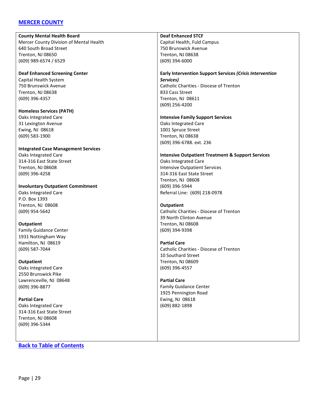### <span id="page-28-0"></span>**[MERCER COUNTY](#page-28-0)**

**County Mental Health Board**

Mercer County Division of Mental Health 640 South Broad Street Trenton, NJ 08650 (609) 989-6574 / 6529

**Deaf Enhanced Screening Center** Capital Health System 750 Brunswick Avenue Trenton, NJ 08638 (609) 396-4357

**Homeless Services (PATH)** Oaks Integrated Care 31 Lexington Avenue Ewing, NJ 08618 (609) 583-1900

# **Integrated Case Management Services**

Oaks Integrated Care 314-316 East State Street Trenton, NJ 08608 (609) 396-4258

**Involuntary Outpatient Commitment** Oaks Integrated Care

P.O. Box 1393 Trenton, NJ 08608 (609) 954-5642

### **Outpatient**

Family Guidance Center 1931 Nottingham Way Hamilton, NJ 08619 (609) 587-7044

#### **Outpatient**

Oaks Integrated Care 2550 Brunswick Pike Lawrenceville, NJ 08648 (609) 396-8877

**Partial Care** Oaks Integrated Care 314-316 East State Street Trenton, NJ 08608 (609) 396-5344

### **[Back to Table of Contents](#page-1-0)**

#### **Deaf Enhanced STCF**

Capital Health, Fuld Campus 750 Brunswick Avenue Trenton, NJ 08638 (609) 394-6000

#### **Early Intervention Support Services** *(Crisis Intervention Services)* Catholic Charities - Diocese of Trenton 833 Cass Street Trenton, NJ 08611 (609) 256-4200

#### **Intensive Family Support Services**

Oaks Integrated Care 1001 Spruce Street Trenton, NJ 08638 (609) 396-6788. ext. 236

#### **Intensive Outpatient Treatment & Support Services**

Oaks Integrated Care Intensive Outpatient Services 314-316 East State Street Trenton, NJ 08608 (609) 396-5944 Referral Line: (609) 218-0978

#### **Outpatient**

Catholic Charities - Diocese of Trenton 39 North Clinton Avenue Trenton, NJ 08608 (609) 394-9398

#### **Partial Care**

Catholic Charities - Diocese of Trenton 10 Southard Street Trenton, NJ 08609 (609) 396-4557

### **Partial Care** Family Guidance Center 1925 Pennington Road

Ewing, NJ 08618 (609) 882-1898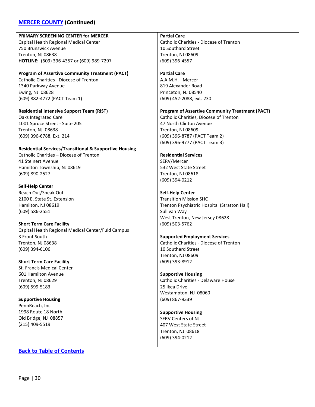# **[MERCER COUNTY](#page-28-0) (Continued)**

| PRIMARY SCREENING CENTER for MERCER                               | <b>Partial Care</b>                                    |
|-------------------------------------------------------------------|--------------------------------------------------------|
| Capital Health Regional Medical Center                            | Catholic Charities - Diocese of Trenton                |
| 750 Brunswick Avenue                                              | 10 Southard Street                                     |
| Trenton, NJ 08638                                                 | Trenton, NJ 08609                                      |
| HOTLINE: (609) 396-4357 or (609) 989-7297                         | (609) 396-4557                                         |
|                                                                   |                                                        |
| <b>Program of Assertive Community Treatment (PACT)</b>            | <b>Partial Care</b>                                    |
| <b>Catholic Charities - Diocese of Trenton</b>                    | A.A.M.H. - Mercer                                      |
| 1340 Parkway Avenue                                               | 819 Alexander Road                                     |
| Ewing, NJ 08628                                                   | Princeton, NJ 08540                                    |
| (609) 882-4772 (PACT Team 1)                                      | (609) 452-2088, ext. 230                               |
|                                                                   |                                                        |
| <b>Residential Intensive Support Team (RIST)</b>                  | <b>Program of Assertive Community Treatment (PACT)</b> |
| Oaks Integrated Care                                              | Catholic Charities, Diocese of Trenton                 |
| 1001 Spruce Street - Suite 205                                    | 47 North Clinton Avenue                                |
| Trenton, NJ 08638                                                 | Trenton, NJ 08609                                      |
| (609) 396-6788, Ext. 214                                          | (609) 396-8787 (PACT Team 2)                           |
|                                                                   | (609) 396-9777 (PACT Team 3)                           |
| <b>Residential Services/Transitional &amp; Supportive Housing</b> |                                                        |
| Catholic Charities - Diocese of Trenton                           | <b>Residential Services</b>                            |
| 41 Steinert Avenue                                                | SERV/Mercer                                            |
| Hamilton Township, NJ 08619                                       | 532 West State Street                                  |
| (609) 890-2527                                                    | Trenton, NJ 08618                                      |
|                                                                   | (609) 394-0212                                         |
| <b>Self-Help Center</b>                                           |                                                        |
| Reach Out/Speak Out                                               | <b>Self-Help Center</b>                                |
| 2100 E. State St. Extension                                       | <b>Transition Mission SHC</b>                          |
| Hamilton, NJ 08619                                                | Trenton Psychiatric Hospital (Stratton Hall)           |
| (609) 586-2551                                                    | Sullivan Way                                           |
|                                                                   | West Trenton, New Jersey 08628                         |
| <b>Short Term Care Facility</b>                                   | (609) 503-5762                                         |
| Capital Health Regional Medical Center/Fuld Campus                |                                                        |
| 3 Front South                                                     | <b>Supported Employment Services</b>                   |
| Trenton, NJ 08638                                                 | Catholic Charities - Diocese of Trenton                |
| (609) 394-6106                                                    | 10 Southard Street                                     |
|                                                                   | Trenton, NJ 08609                                      |
| <b>Short Term Care Facility</b>                                   | (609) 393-8912                                         |
| St. Francis Medical Center                                        |                                                        |
| 601 Hamilton Avenue                                               | <b>Supportive Housing</b>                              |
| Trenton, NJ 08629                                                 | Catholic Charities - Delaware House                    |
| (609) 599-5183                                                    | 25 Ikea Drive                                          |
|                                                                   | Westampton, NJ 08060                                   |
| <b>Supportive Housing</b>                                         | (609) 867-9339                                         |
| PennReach, Inc.                                                   |                                                        |
| 1998 Route 18 North                                               | <b>Supportive Housing</b>                              |
| Old Bridge, NJ 08857                                              | <b>SERV Centers of NJ</b>                              |
| (215) 409-5519                                                    | 407 West State Street                                  |
|                                                                   | Trenton, NJ 08618                                      |
|                                                                   | (609) 394-0212                                         |
|                                                                   |                                                        |
|                                                                   |                                                        |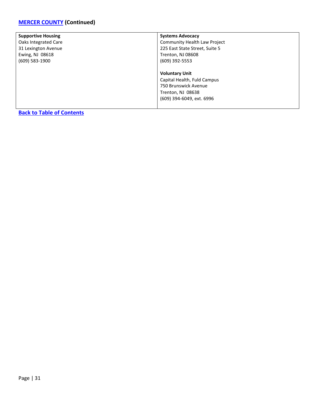| <b>Supportive Housing</b>        | <b>Systems Advocacy</b>        |
|----------------------------------|--------------------------------|
| Oaks Integrated Care             | Community Health Law Project   |
| 31 Lexington Avenue              | 225 East State Street, Suite 5 |
| Ewing, NJ 08618                  | Trenton, NJ 08608              |
| (609) 583-1900                   | (609) 392-5553                 |
|                                  |                                |
|                                  | <b>Voluntary Unit</b>          |
|                                  | Capital Health, Fuld Campus    |
|                                  | 750 Brunswick Avenue           |
|                                  | Trenton, NJ 08638              |
|                                  | (609) 394-6049, ext. 6996      |
|                                  |                                |
| <b>Back to Table of Contents</b> |                                |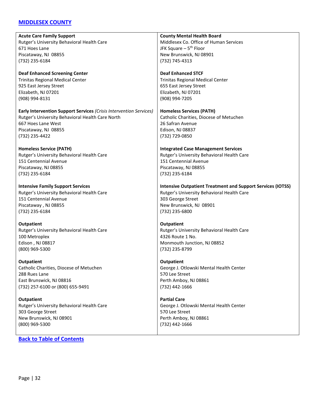### <span id="page-31-0"></span>**[MIDDLESEX COUNTY](#page-31-0)**

| <b>Acute Care Family Support</b>                                   | <b>County Mental Health Board</b>                                  |
|--------------------------------------------------------------------|--------------------------------------------------------------------|
| Rutger's University Behavioral Health Care                         | Middlesex Co. Office of Human Services                             |
| 671 Hoes Lane                                                      | JFK Square - 5 <sup>th</sup> Floor                                 |
| Piscataway, NJ 08855                                               | New Brunswick, NJ 08901                                            |
|                                                                    |                                                                    |
| (732) 235-6184                                                     | (732) 745-4313                                                     |
| <b>Deaf Enhanced Screening Center</b>                              | <b>Deaf Enhanced STCF</b>                                          |
| <b>Trinitas Regional Medical Center</b>                            | <b>Trinitas Regional Medical Center</b>                            |
| 925 East Jersey Street                                             | 655 East Jersey Street                                             |
| Elizabeth, NJ 07201                                                | Elizabeth, NJ 07201                                                |
| (908) 994-8131                                                     | (908) 994-7205                                                     |
|                                                                    |                                                                    |
| Early Intervention Support Services (Crisis Intervention Services) | <b>Homeless Services (PATH)</b>                                    |
| Rutger's University Behavioral Health Care North                   | Catholic Charities, Diocese of Metuchen                            |
| 667 Hoes Lane West                                                 | 26 Safran Avenue                                                   |
| Piscataway, NJ 08855                                               | Edison, NJ 08837                                                   |
| (732) 235-4422                                                     | (732) 729-0850                                                     |
| <b>Homeless Service (PATH)</b>                                     | <b>Integrated Case Management Services</b>                         |
| Rutger's University Behavioral Health Care                         | Rutger's University Behavioral Health Care                         |
| 151 Centennial Avenue                                              | 151 Centennial Avenue                                              |
|                                                                    |                                                                    |
| Piscataway, NJ 08855                                               | Piscataway, NJ 08855                                               |
| (732) 235-6184                                                     | (732) 235-6184                                                     |
| <b>Intensive Family Support Services</b>                           | <b>Intensive Outpatient Treatment and Support Services (IOTSS)</b> |
| Rutger's University Behavioral Health Care                         | Rutger's University Behavioral Health Care                         |
| 151 Centennial Avenue                                              | 303 George Street                                                  |
| Piscataway, NJ 08855                                               | New Brunswick, NJ 08901                                            |
| (732) 235-6184                                                     | (732) 235-6800                                                     |
|                                                                    |                                                                    |
| <b>Outpatient</b>                                                  | <b>Outpatient</b>                                                  |
| Rutger's University Behavioral Health Care                         | Rutger's University Behavioral Health Care                         |
| 100 Metroplex                                                      | 4326 Route 1 No.                                                   |
| Edison, NJ 08817                                                   | Monmouth Junction, NJ 08852                                        |
| (800) 969-5300                                                     | (732) 235-8799                                                     |
| Outpatient                                                         | <b>Outpatient</b>                                                  |
| Catholic Charities, Diocese of Metuchen                            | George J. Otlowski Mental Health Center                            |
| 288 Rues Lane                                                      | 570 Lee Street                                                     |
| East Brunswick, NJ 08816                                           | Perth Amboy, NJ 08861                                              |
| (732) 257-6100 or (800) 655-9491                                   | (732) 442-1666                                                     |
|                                                                    |                                                                    |
| <b>Outpatient</b>                                                  | <b>Partial Care</b>                                                |
| Rutger's University Behavioral Health Care                         | George J. Otlowski Mental Health Center                            |
| 303 George Street                                                  | 570 Lee Street                                                     |
| New Brunswick, NJ 08901                                            | Perth Amboy, NJ 08861                                              |
| (800) 969-5300                                                     | (732) 442-1666                                                     |
|                                                                    |                                                                    |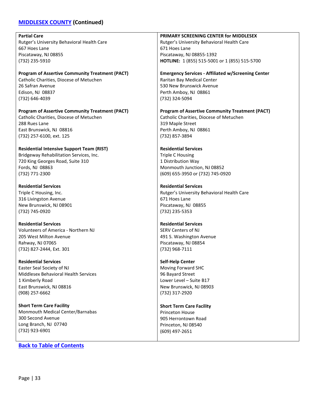# **[MIDDLESEX COUNTY](#page-31-0) (Continued)**

| <b>Partial Care</b>                                    | PRIMARY SCREENING CENTER for MIDDLESEX                    |
|--------------------------------------------------------|-----------------------------------------------------------|
| Rutger's University Behavioral Health Care             | Rutger's University Behavioral Health Care                |
| 667 Hoes Lane                                          | 671 Hoes Lane                                             |
| Piscataway, NJ 08855                                   | Piscataway, NJ 08855-1392                                 |
| (732) 235-5910                                         | HOTLINE: 1 (855) 515-5001 or 1 (855) 515-5700             |
|                                                        |                                                           |
| <b>Program of Assertive Community Treatment (PACT)</b> | <b>Emergency Services - Affiliated w/Screening Center</b> |
| Catholic Charities, Diocese of Metuchen                | Raritan Bay Medical Center                                |
| 26 Safran Avenue                                       | 530 New Brunswick Avenue                                  |
| Edison, NJ 08837                                       | Perth Amboy, NJ 08861                                     |
| (732) 646-4039                                         | (732) 324-5094                                            |
|                                                        |                                                           |
| <b>Program of Assertive Community Treatment (PACT)</b> | <b>Program of Assertive Community Treatment (PACT)</b>    |
| Catholic Charities, Diocese of Metuchen                | Catholic Charities, Diocese of Metuchen                   |
| 288 Rues Lane                                          | 319 Maple Street                                          |
| East Brunswick, NJ 08816                               | Perth Amboy, NJ 08861                                     |
| (732) 257-6100, ext. 125                               | (732) 857-3894                                            |
|                                                        |                                                           |
| <b>Residential Intensive Support Team (RIST)</b>       | <b>Residential Services</b>                               |
| Bridgeway Rehabilitation Services, Inc.                | <b>Triple C Housing</b>                                   |
| 720 King Georges Road, Suite 310                       | 1 Distribution Way                                        |
| Fords, NJ 08863                                        | Monmouth Junction, NJ 08852                               |
| (732) 771-2300                                         | (609) 655-3950 or (732) 745-0920                          |
|                                                        |                                                           |
| <b>Residential Services</b>                            | <b>Residential Services</b>                               |
| Triple C Housing, Inc.                                 | Rutger's University Behavioral Health Care                |
| 316 Livingston Avenue                                  | 671 Hoes Lane                                             |
| New Brunswick, NJ 08901                                | Piscataway, NJ 08855                                      |
| (732) 745-0920                                         | (732) 235-5353                                            |
|                                                        |                                                           |
| <b>Residential Services</b>                            | <b>Residential Services</b>                               |
| <b>Volunteers of America - Northern NJ</b>             | <b>SERV Centers of NJ</b>                                 |
| 205 West Milton Avenue                                 | 491 S. Washington Avenue                                  |
| Rahway, NJ 07065                                       | Piscataway, NJ 08854                                      |
| (732) 827-2444, Ext. 301                               | (732) 968-7111                                            |
|                                                        |                                                           |
| <b>Residential Services</b>                            | <b>Self-Help Center</b>                                   |
| Easter Seal Society of NJ                              | Moving Forward SHC                                        |
| Middlesex Behavioral Health Services                   | 96 Bayard Street                                          |
| 1 Kimberly Road                                        | Lower Level - Suite B17                                   |
| East Brunswick, NJ 08816                               | New Brunswick, NJ 08903                                   |
| (908) 257-6662                                         | (732) 317-2920                                            |
|                                                        |                                                           |
| <b>Short Term Care Facility</b>                        | <b>Short Term Care Facility</b>                           |
| Monmouth Medical Center/Barnabas                       | Princeton House                                           |
| 300 Second Avenue                                      | 905 Herrontown Road                                       |
| Long Branch, NJ 07740                                  | Princeton, NJ 08540                                       |

(609) 497-2651

# **[Back to Table of Contents](#page-1-0)**

(732) 923-6901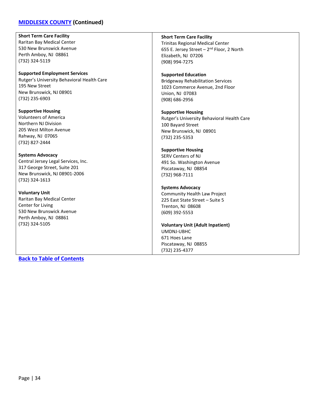### **[MIDDLESEX COUNTY](#page-31-0) (Continued)**

**Short Term Care Facility** Raritan Bay Medical Center 530 New Brunswick Avenue Perth Amboy, NJ 08861 (732) 324-5119

**Supported Employment Services** Rutger's University Behavioral Health Care 195 New Street New Brunswick, NJ 08901 (732) 235-6903

**Supportive Housing** Volunteers of America Northern NJ Division 205 West Milton Avenue Rahway, NJ 07065 (732) 827-2444

**Systems Advocacy** Central Jersey Legal Services, Inc. 317 George Street, Suite 201 New Brunswick, NJ 08901-2006 (732) 324-1613

**Voluntary Unit** Raritan Bay Medical Center Center for Living 530 New Brunswick Avenue Perth Amboy, NJ 08861 (732) 324-5105

Trinitas Regional Medical Center 655 E. Jersey Street  $-2^{nd}$  Floor, 2 North Elizabeth, NJ 07206 (908) 994-7275 **Supported Education**

**Short Term Care Facility**

Bridgeway Rehabilitation Services 1023 Commerce Avenue, 2nd Floor Union, NJ 07083 (908) 686-2956

**Supportive Housing** Rutger's University Behavioral Health Care 100 Bayard Street New Brunswick, NJ 08901 (732) 235-5353

### **Supportive Housing**

SERV Centers of NJ 491 So. Washington Avenue Piscataway, NJ 08854 (732) 968-7111

**Systems Advocacy**

Community Health Law Project 225 East State Street – Suite 5 Trenton, NJ 08608 (609) 392-5553

**Voluntary Unit (Adult Inpatient)** UMDNJ-UBHC 671 Hoes Lane Piscataway, NJ 08855 (732) 235-4377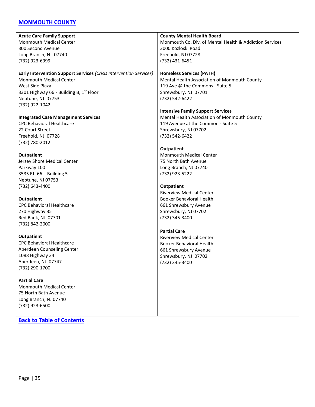### <span id="page-34-0"></span>**[MONMOUTH COUNTY](#page-34-0)**

| <b>Acute Care Family Support</b>                                   | <b>County Mental Health Board</b>                       |
|--------------------------------------------------------------------|---------------------------------------------------------|
| <b>Monmouth Medical Center</b>                                     | Monmouth Co. Div. of Mental Health & Addiction Services |
| 300 Second Avenue                                                  | 3000 Kozloski Road                                      |
| Long Branch, NJ 07740                                              | Freehold, NJ 07728                                      |
| (732) 923-6999                                                     | (732) 431-6451                                          |
| Early Intervention Support Services (Crisis Intervention Services) | <b>Homeless Services (PATH)</b>                         |
| <b>Monmouth Medical Center</b>                                     | Mental Health Association of Monmouth County            |
| West Side Plaza                                                    | 119 Ave @ the Commons - Suite 5                         |
| 3301 Highway 66 - Building B, 1st Floor                            | Shrewsbury, NJ 07701                                    |
| Neptune, NJ 07753                                                  | (732) 542-6422                                          |
| (732) 922-1042                                                     |                                                         |
|                                                                    | <b>Intensive Family Support Services</b>                |
| <b>Integrated Case Management Services</b>                         | Mental Health Association of Monmouth County            |
| <b>CPC Behavioral Healthcare</b>                                   | 119 Avenue at the Common - Suite 5                      |
| 22 Court Street                                                    | Shrewsbury, NJ 07702                                    |
| Freehold, NJ 07728                                                 | (732) 542-6422                                          |
| (732) 780-2012                                                     |                                                         |
|                                                                    | <b>Outpatient</b>                                       |
| <b>Outpatient</b>                                                  | <b>Monmouth Medical Center</b>                          |
| Jersey Shore Medical Center                                        | 75 North Bath Avenue                                    |
| Parkway 100                                                        | Long Branch, NJ 07740                                   |
| 3535 Rt. 66 - Building 5                                           | (732) 923-5222                                          |
| Neptune, NJ 07753                                                  |                                                         |
| (732) 643-4400                                                     | <b>Outpatient</b>                                       |
|                                                                    | <b>Riverview Medical Center</b>                         |
| <b>Outpatient</b>                                                  | <b>Booker Behavioral Health</b>                         |
| <b>CPC Behavioral Healthcare</b>                                   | 661 Shrewsbury Avenue                                   |
| 270 Highway 35                                                     | Shrewsbury, NJ 07702                                    |
| Red Bank, NJ 07701                                                 | (732) 345-3400                                          |
| (732) 842-2000                                                     |                                                         |
|                                                                    | <b>Partial Care</b>                                     |
| Outpatient                                                         | <b>Riverview Medical Center</b>                         |
| <b>CPC Behavioral Healthcare</b>                                   | <b>Booker Behavioral Health</b>                         |
| Aberdeen Counseling Center                                         | 661 Shrewsbury Avenue                                   |
| 1088 Highway 34                                                    | Shrewsbury, NJ 07702                                    |
| Aberdeen, NJ 07747                                                 | (732) 345-3400                                          |
| (732) 290-1700                                                     |                                                         |
| <b>Partial Care</b>                                                |                                                         |
| Monmouth Medical Center                                            |                                                         |
| 75 North Bath Avenue                                               |                                                         |
| Long Branch, NJ 07740                                              |                                                         |

**[Back to Table of Contents](#page-1-0)**

(732) 923-6500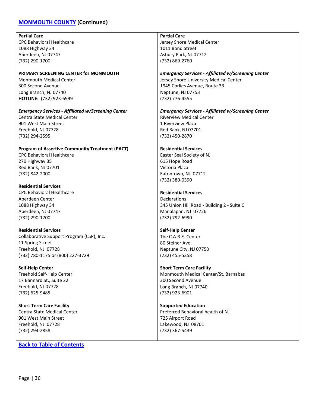### **[MONMOUTH COUNTY](#page-34-0) (Continued)**

**Partial Care** CPC Behavioral Healthcare 1088 Highway 34 Aberdeen, NJ 07747 (732) 290-1700 **PRIMARY SCREENING CENTER for MONMOUTH** Monmouth Medical Center 300 Second Avenue Long Branch, NJ 07740 **HOTLINE:** (732) 923-6999 *Emergency Services - Affiliated w/Screening Center* Centra State Medical Center 901 West Main Street Freehold, NJ 07728 (732) 294-2595 **Program of Assertive Community Treatment (PACT)** CPC Behavioral Healthcare 270 Highway 35 Red Bank, NJ 07701 (732) 842-2000 **Residential Services** CPC Behavioral Healthcare Aberdeen Center 1088 Highway 34 Aberdeen, NJ 07747 (732) 290-1700 **Residential Services** Collaborative Support Program (CSP), Inc. 11 Spring Street Freehold, NJ 07728 (732) 780-1175 or (800) 227-3729 **Partial Care** Jersey Shore Medical Center 1011 Bond Street Asbury Park, NJ 07712 (732) 869-2760 *Emergency Services - Affiliated w/Screening Center* Jersey Shore University Medical Center 1945 Corlies Avenue, Route 33 Neptune, NJ 07753 (732) 776-4555 Riverview Medical Center 1 Riverview Plaza Red Bank, NJ 07701 (732) 450-2870 **Residential Services** Easter Seal Society of NJ 615 Hope Road Victoria Plaza Eatontown, NJ 07712 (732) 380-0390 **Residential Services** Declarations 345 Union Hill Road - Building 2 - Suite C Manalapan, NJ 07726 (732) 792-6990 **Self-Help Center** The C.A.R.E. Center 80 Steiner Ave. Neptune City, NJ 07753

**Self-Help Center** Freehold Self-Help Center 17 Bannard St., Suite 22 Freehold, NJ 07728 (732) 625-9485

**Short Term Care Facility** Centra State Medical Center 901 West Main Street Freehold, NJ 07728 (732) 294-2858

**[Back to Table of Contents](#page-1-0)**

*Emergency Services - Affiliated w/Screening Center*

(732) 455-5358

**Short Term Care Facility** Monmouth Medical Center/St. Barnabas 300 Second Avenue Long Branch, NJ 07740 (732) 923-6901

**Supported Education** Preferred Behavioral health of NJ 725 Airport Road Lakewood, NJ 08701 (732) 367-5439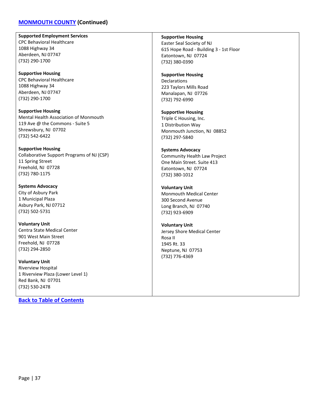### **[MONMOUTH COUNTY](#page-34-0) (Continued)**

**Supported Employment Services** CPC Behavioral Healthcare 1088 Highway 34 Aberdeen, NJ 07747 (732) 290-1700

**Supportive Housing** CPC Behavioral Healthcare 1088 Highway 34 Aberdeen, NJ 07747 (732) 290-1700

**Supportive Housing** Mental Health Association of Monmouth 119 Ave @ the Commons - Suite 5 Shrewsbury, NJ 07702 (732) 542-6422

**Supportive Housing** Collaborative Support Programs of NJ (CSP) 11 Spring Street Freehold, NJ 07728 (732) 780-1175

**Systems Advocacy** City of Asbury Park 1 Municipal Plaza Asbury Park, NJ 07712 (732) 502-5731

**Voluntary Unit** Centra State Medical Center 901 West Main Street Freehold, NJ 07728 (732) 294-2850

**Voluntary Unit** Riverview Hospital 1 Riverview Plaza (Lower Level 1) Red Bank, NJ 07701 (732) 530-2478

**[Back to Table of Contents](#page-1-0)**

**Supportive Housing**

Easter Seal Society of NJ 615 Hope Road - Building 3 - 1st Floor Eatontown, NJ 07724 (732) 380-0390

**Supportive Housing** Declarations 223 Taylors Mills Road Manalapan, NJ 07726 (732) 792-6990

**Supportive Housing** Triple C Housing, Inc. 1 Distribution Way Monmouth Junction, NJ 08852 (732) 297-5840

**Systems Advocacy** Community Health Law Project One Main Street. Suite 413 Eatontown, NJ 07724 (732) 380-1012

**Voluntary Unit** Monmouth Medical Center 300 Second Avenue Long Branch, NJ 07740 (732) 923-6909

**Voluntary Unit** Jersey Shore Medical Center Rosa II 1945 Rt. 33 Neptune, NJ 07753 (732) 776-4369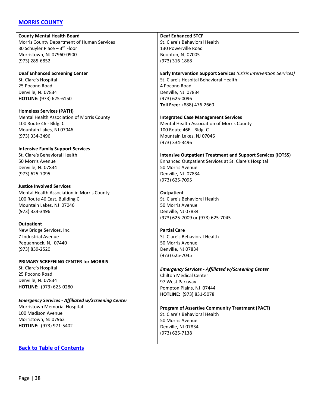### <span id="page-37-0"></span>**[MORRIS COUNTY](#page-37-0)**

**County Mental Health Board** Morris County Department of Human Services 30 Schuyler Place – 3rd Floor Morristown, NJ 07960-0900 (973) 285-6852

**Deaf Enhanced Screening Center** St. Clare's Hospital 25 Pocono Road Denville, NJ 07834 **HOTLINE:** (973) 625-6150

**Homeless Services (PATH)** Mental Health Association of Morris County 100 Route 46 - Bldg. C Mountain Lakes, NJ 07046 (973) 334-3496

**Intensive Family Support Services** St. Clare's Behavioral Health 50 Morris Avenue Denville, NJ 07834 (973) 625-7095

**Justice Involved Services** Mental Health Association in Morris County 100 Route 46 East, Building C Mountain Lakes, NJ 07046 (973) 334-3496

**Outpatient** New Bridge Services, Inc. 7 Industrial Avenue Pequannock, NJ 07440 (973) 839-2520

**PRIMARY SCREENING CENTER for MORRIS**

St. Clare's Hospital 25 Pocono Road Denville, NJ 07834 **HOTLINE:** (973) 625-0280

*Emergency Services - Affiliated w/Screening Center*

Morristown Memorial Hospital 100 Madison Avenue Morristown, NJ 07962 **HOTLINE:** (973) 971-5402

**Deaf Enhanced STCF**

(973) 334-3496

St. Clare's Behavioral Health 130 Powerville Road Boonton, NJ 07005 (973) 316-1868

**Early Intervention Support Services** *(Crisis Intervention Services)* St. Clare's Hospital Behavioral Health

4 Pocono Road Denville, NJ 07834 (973) 625-0096 **Toll Free:** (888) 476-2660

**Integrated Case Management Services** Mental Health Association of Morris County 100 Route 46E - Bldg. C Mountain Lakes, NJ 07046

**Intensive Outpatient Treatment and Support Services (IOTSS)** Enhanced Outpatient Services at St. Clare's Hospital 50 Morris Avenue Denville, NJ 07834 (973) 625-7095

**Outpatient** St. Clare's Behavioral Health 50 Morris Avenue Denville, NJ 07834 (973) 625-7009 or (973) 625-7045

**Partial Care** St. Clare's Behavioral Health 50 Morris Avenue Denville, NJ 07834 (973) 625-7045

*Emergency Services - Affiliated w/Screening Center* Chilton Medical Center 97 West Parkway Pompton Plains, NJ 07444 **HOTLINE:** (973) 831-5078

**Program of Assertive Community Treatment (PACT)** St. Clare's Behavioral Health 50 Morris Avenue Denville, NJ 07834 (973) 625-7138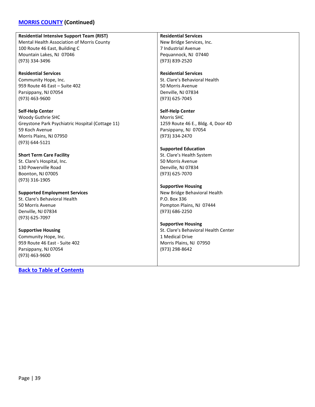### **[MORRIS COUNTY](#page-37-0) (Continued)**

**Residential Intensive Support Team (RIST)** Mental Health Association of Morris County 100 Route 46 East, Building C Mountain Lakes, NJ 07046 (973) 334-3496

**Residential Services** Community Hope, Inc. 959 Route 46 East – Suite 402 Parsippany, NJ 07054 (973) 463-9600

**Self-Help Center** Woody Guthrie SHC Greystone Park Psychiatric Hospital (Cottage 11) 59 Koch Avenue Morris Plains, NJ 07950 (973) 644-5121

**Short Term Care Facility** St. Clare's Hospital, Inc. 130 Powerville Road Boonton, NJ 07005 (973) 316-1905

**Supported Employment Services** St. Clare's Behavioral Health 50 Morris Avenue Denville, NJ 07834 (973) 625-7097

**Supportive Housing** Community Hope, Inc. 959 Route 46 East - Suite 402 Parsippany, NJ 07054 (973) 463-9600

**[Back to Table of Contents](#page-1-0)**

**Residential Services**

New Bridge Services, Inc. 7 Industrial Avenue Pequannock, NJ 07440 (973) 839-2520

**Residential Services**

St. Clare's Behavioral Health 50 Morris Avenue Denville, NJ 07834 (973) 625-7045

**Self-Help Center** Morris SHC 1259 Route 46 E., Bldg. 4, Door 4D Parsippany, NJ 07054 (973) 334-2470

### **Supported Education** St. Clare's Health System

50 Morris Avenue Denville, NJ 07834 (973) 625-7070

**Supportive Housing** New Bridge Behavioral Health P.O. Box 336 Pompton Plains, NJ 07444 (973) 686-2250

**Supportive Housing** St. Clare's Behavioral Health Center 1 Medical Drive Morris Plains, NJ 07950 (973) 298-8642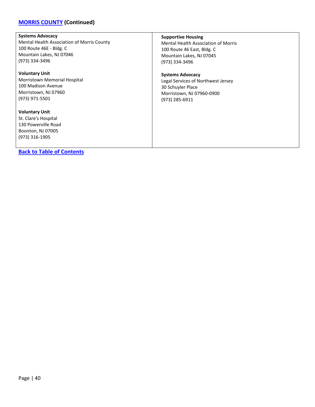# **[MORRIS COUNTY](#page-37-0) (Continued)**

| <b>Systems Advocacy</b>                                                                                     | <b>Supportive Housing</b>                  |
|-------------------------------------------------------------------------------------------------------------|--------------------------------------------|
| Mental Health Association of Morris County                                                                  | <b>Mental Health Association of Morris</b> |
| 100 Route 46E - Bldg. C                                                                                     | 100 Route 46 East, Bldg. C                 |
| Mountain Lakes, NJ 07046                                                                                    | Mountain Lakes, NJ 07045                   |
| (973) 334-3496                                                                                              | (973) 334-3496                             |
| <b>Voluntary Unit</b>                                                                                       | <b>Systems Advocacy</b>                    |
| Morristown Memorial Hospital                                                                                | Legal Services of Northwest Jersey         |
| 100 Madison Avenue                                                                                          | 30 Schuyler Place                          |
| Morristown, NJ 07960                                                                                        | Morristown, NJ 07960-0900                  |
| (973) 971-5501                                                                                              | (973) 285-6911                             |
| <b>Voluntary Unit</b><br>St. Clare's Hospital<br>130 Powerville Road<br>Boonton, NJ 07005<br>(973) 316-1905 |                                            |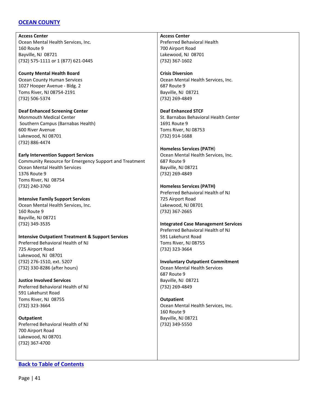### <span id="page-40-0"></span>**[OCEAN COUNTY](#page-40-0)**

**Access Center** Ocean Mental Health Services, Inc. 160 Route 9 Bayville, NJ 08721 (732) 575-1111 or 1 (877) 621-0445

**County Mental Health Board** Ocean County Human Services 1027 Hooper Avenue - Bldg. 2 Toms River, NJ 08754-2191 (732) 506-5374

**Deaf Enhanced Screening Center** Monmouth Medical Center Southern Campus (Barnabas Health) 600 River Avenue Lakewood, NJ 08701 (732) 886-4474

**Early Intervention Support Services** Community Resource for Emergency Support and Treatment Ocean Mental Health Services 1376 Route 9 Toms River, NJ 08754 (732) 240-3760

**Intensive Family Support Services** Ocean Mental Health Services, Inc. 160 Route 9 Bayville, NJ 08721 (732) 349-3535

**Intensive Outpatient Treatment & Support Services** Preferred Behavioral Health of NJ 725 Airport Road Lakewood, NJ 08701 (732) 276-1510, ext. 5207

**Justice Involved Services** Preferred Behavioral Health of NJ 591 Lakehurst Road Toms River, NJ 08755 (732) 323-3664

(732) 330-8286 (after hours)

**Outpatient** Preferred Behavioral Health of NJ 700 Airport Road Lakewood, NJ 08701 (732) 367-4700

### **[Back to Table of Contents](#page-1-0)**

**Access Center** Preferred Behavioral Health 700 Airport Road Lakewood, NJ 08701 (732) 367-1602

**Crisis Diversion** Ocean Mental Health Services, Inc. 687 Route 9 Bayville, NJ 08721 (732) 269-4849

**Deaf Enhanced STCF** St. Barnabas Behavioral Health Center 1691 Route 9 Toms River, NJ 08753 (732) 914-1688

**Homeless Services (PATH**) Ocean Mental Health Services, Inc. 687 Route 9 Bayville, NJ 08721 (732) 269-4849

**Homeless Services (PATH)** Preferred Behavioral Health of NJ 725 Airport Road Lakewood, NJ 08701 (732) 367-2665

**Integrated Case Management Services** Preferred Behavioral Health of NJ 591 Lakehurst Road Toms River, NJ 08755 (732) 323-3664

**Involuntary Outpatient Commitment** Ocean Mental Health Services 687 Route 9 Bayville, NJ 08721 (732) 269-4849

**Outpatient** Ocean Mental Health Services, Inc. 160 Route 9 Bayville, NJ 08721 (732) 349-5550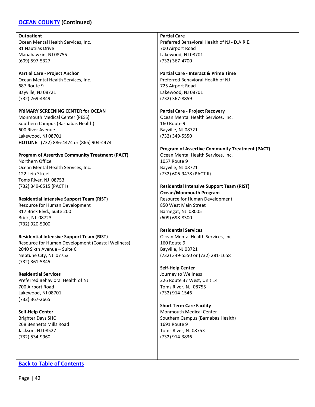### **[OCEAN COUNTY](#page-40-0) (Continued)**

#### **Outpatient**

Ocean Mental Health Services, Inc. 81 Nautilas Drive Manahawkin, NJ 08755 (609) 597-5327

**Partial Care - Project Anchor** Ocean Mental Health Services, Inc. 687 Route 9 Bayville, NJ 08721 (732) 269-4849

**PRIMARY SCREENING CENTER for OCEAN** Monmouth Medical Center (PESS) Southern Campus (Barnabas Health) 600 River Avenue Lakewood, NJ 08701 **HOTLINE**: (732) 886-4474 or (866) 904-4474

**Program of Assertive Community Treatment (PACT)** Northern Office Ocean Mental Health Services, Inc. 122 Lein Street Toms River, NJ 08753 (732) 349-0515 (PACT I)

**Residential Intensive Support Team (RIST)** Resource for Human Development 317 Brick Blvd., Suite 200 Brick, NJ 08723 (732) 920-5000

**Residential Intensive Support Team (RIST)** Resource for Human Development (Coastal Wellness) 2040 Sixth Avenue – Suite C Neptune City, NJ 07753 (732) 361-5845

**Residential Services** Preferred Behavioral Health of NJ 700 Airport Road Lakewood, NJ 08701 (732) 367-2665

**Self-Help Center** Brighter Days SHC 268 Bennetts Mills Road Jackson, NJ 08527 (732) 534-9960

**[Back to Table of Contents](#page-1-0)**

**Partial Care** Preferred Behavioral Health of NJ - D.A.R.E. 700 Airport Road Lakewood, NJ 08701 (732) 367-4700

**Partial Care - Interact & Prime Time**

Preferred Behavioral Health of NJ 725 Airport Road Lakewood, NJ 08701 (732) 367-8859

**Partial Care - Project Recovery** Ocean Mental Health Services, Inc. 160 Route 9 Bayville, NJ 08721 (732) 349-5550

**Program of Assertive Community Treatment (PACT)** Ocean Mental Health Services, Inc. 1057 Route 9 Bayville, NJ 08721 (732) 606-9478 (PACT II)

**Residential Intensive Support Team (RIST) Ocean/Monmouth Program** Resource for Human Development 850 West Main Street Barnegat, NJ 08005 (609) 698-8300

**Residential Services** Ocean Mental Health Services, Inc. 160 Route 9 Bayville, NJ 08721 (732) 349-5550 or (732) 281-1658

**Self-Help Center** Journey to Wellness 226 Route 37 West, Unit 14 Toms River, NJ 08755 (732) 914-1546

**Short Term Care Facility** Monmouth Medical Center Southern Campus (Barnabas Health) 1691 Route 9 Toms River, NJ 08753 (732) 914-3836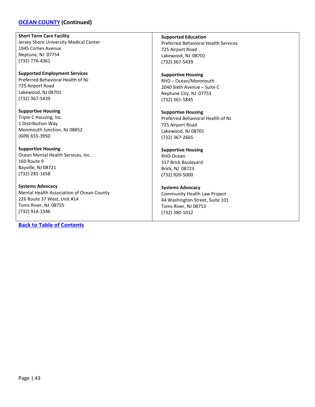### **[OCEAN COUNTY](#page-40-0) (Continued)**

**Short Term Care Facility**

Jersey Shore University Medical Center 1945 Corlies Avenue Neptune, NJ 07754 (732) 776-4361

**Supported Employment Services** Preferred Behavioral Health of NJ 725 Airport Road Lakewood, NJ 08701 (732) 367-5439

**Supportive Housing** Triple C Housing, Inc. 1 Distribution Way Monmouth Junction, NJ 08852 (609) 655-3950

**Supportive Housing** Ocean Mental Health Services, Inc. 160 Route 9 Bayville, NJ 08721 (732) 281-1658

**Systems Advocacy** Mental Health Association of Ocean County 226 Route 37 West, Unit #14 Toms River, NJ 08755 (732) 914-1546

**[Back to Table of Contents](#page-1-0)**

**Supported Education**

Preferred Behavioral Health Services 725 Airport Road Lakewood, NJ 08701 (732) 367-5439

**Supportive Housing** RHD – Ocean/Monmouth 2040 Sixth Avenue – Suite C Neptune City, NJ 07753 (732) 361-5845

**Supportive Housing** Preferred Behavioral Health of NJ 725 Airport Road Lakewood, NJ 08701 (732) 367-2665

### **Supportive Housing** RHD-Ocean 317 Brick Boulevard Brick, NJ 08723 (732) 920-5000

**Systems Advocacy** Community Health Law Project 44 Washington Street, Suite 101 Toms River, NJ 08753 (732) 380-1012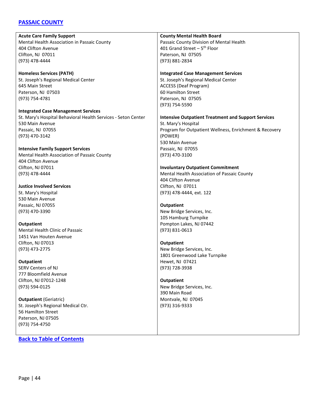### <span id="page-43-0"></span>**[PASSAIC COUNTY](#page-43-0)**

**Acute Care Family Support** Mental Health Association in Passaic County 404 Clifton Avenue Clifton, NJ 07011 (973) 478-4444

**Homeless Services (PATH)** St. Joseph's Regional Medical Center 645 Main Street Paterson, NJ 07503 (973) 754-4781

**Integrated Case Management Services** St. Mary's Hospital Behavioral Health Services - Seton Center 530 Main Avenue Passaic, NJ 07055 (973) 470-3142

**Intensive Family Support Services** Mental Health Association of Passaic County 404 Clifton Avenue Clifton, NJ 07011 (973) 478-4444

**Justice Involved Services** St. Mary's Hospital 530 Main Avenue Passaic, NJ 07055 (973) 470-3390

**Outpatient** Mental Health Clinic of Passaic 1451 Van Houten Avenue Clifton, NJ 07013 (973) 473-2775

**Outpatient** SERV Centers of NJ 777 Bloomfield Avenue Clifton, NJ 07012-1248 (973) 594-0125

**Outpatient** (Geriatric) St. Joseph's Regional Medical Ctr. 56 Hamilton Street Paterson, NJ 07505 (973) 754-4750

**[Back to Table of Contents](#page-1-0)**

**County Mental Health Board** Passaic County Division of Mental Health 401 Grand Street –  $5^{th}$  Floor Paterson, NJ 07505

(973) 881-2834

**Integrated Case Management Services**

St. Joseph's Regional Medical Center ACCESS (Deaf Program) 60 Hamilton Street Paterson, NJ 07505 (973) 754-5590

**Intensive Outpatient Treatment and Support Services** St. Mary's Hospital Program for Outpatient Wellness, Enrichment & Recovery (POWER) 530 Main Avenue Passaic, NJ 07055 (973) 470-3100

**Involuntary Outpatient Commitment** Mental Health Association of Passaic County 404 Clifton Avenue Clifton, NJ 07011 (973) 478-4444, ext. 122

**Outpatient** New Bridge Services, Inc. 105 Hamburg Turnpike Pompton Lakes, NJ 07442 (973) 831-0613

**Outpatient** New Bridge Services, Inc. 1801 Greenwood Lake Turnpike Hewet, NJ 07421 (973) 728-3938

**Outpatient** New Bridge Services, Inc. 390 Main Road Montvale, NJ 07045 (973) 316-9333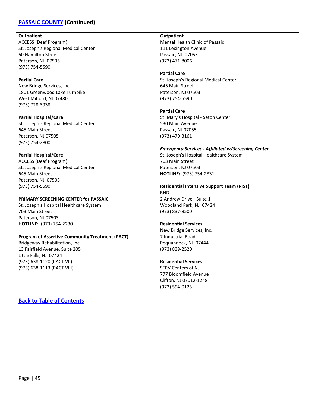### **[PASSAIC COUNTY](#page-43-0) (Continued)**

**Outpatient** ACCESS (Deaf Program) St. Joseph's Regional Medical Center 60 Hamilton Street Paterson, NJ 07505 (973) 754-5590

**Partial Care** New Bridge Services, Inc. 1801 Greenwood Lake Turnpike West Milford, NJ 07480 (973) 728-3938

**Partial Hospital/Care** St. Joseph's Regional Medical Center 645 Main Street Paterson, NJ 07505 (973) 754-2800

**Partial Hospital/Care** ACCESS (Deaf Program) St. Joseph's Regional Medical Center 645 Main Street Paterson, NJ 07503 (973) 754-5590

#### **PRIMARY SCREENING CENTER for PASSAIC**

St. Joseph's Hospital Healthcare System 703 Main Street Paterson, NJ 07503 **HOTLINE:** (973) 754-2230

#### **Program of Assertive Community Treatment (PACT)**

Bridgeway Rehabilitation, Inc. 13 Fairfield Avenue, Suite 205 Little Falls, NJ 07424 (973) 638-1120 (PACT VII) (973) 638-1113 (PACT VIII)

**Outpatient** Mental Health Clinic of Passaic 111 Lexington Avenue Passaic, NJ 07055 (973) 471-8006

**Partial Care**

St. Joseph's Regional Medical Center 645 Main Street Paterson, NJ 07503 (973) 754-5590

**Partial Care** St. Mary's Hospital - Seton Center 530 Main Avenue Passaic, NJ 07055 (973) 470-3161

*Emergency Services - Affiliated w/Screening Center* St. Joseph's Hospital Healthcare System 703 Main Street Paterson, NJ 07503 **HOTLINE:** (973) 754-2831

**Residential Intensive Support Team (RIST)** RHD 2 Andrew Drive - Suite 1 Woodland Park, NJ 07424

(973) 837-9500 **Residential Services** New Bridge Services, Inc.

7 Industrial Road Pequannock, NJ 07444 (973) 839-2520

#### **Residential Services**

SERV Centers of NJ 777 Bloomfield Avenue Clifton, NJ 07012-1248 (973) 594-0125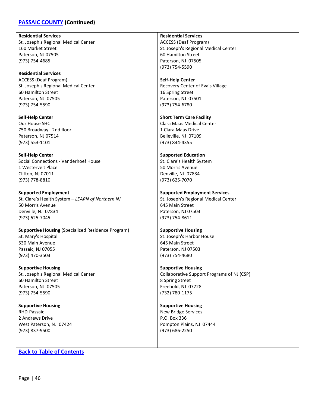### **[PASSAIC COUNTY](#page-43-0) (Continued)**

**Residential Services** St. Joseph's Regional Medical Center 160 Market Street Paterson, NJ 07505 (973) 754-4685

**Residential Services** ACCESS (Deaf Program) St. Joseph's Regional Medical Center 60 Hamilton Street Paterson, NJ 07505 (973) 754-5590

**Self-Help Center** Our House SHC 750 Broadway - 2nd floor Paterson, NJ 07514 (973) 553-1101

**Self-Help Center** Social Connections - Vanderhoef House 1 Westervelt Place Clifton, NJ 07011 (973) 778-8810

**Supported Employment** St. Clare's Health System – *LEARN of Northern NJ* 50 Morris Avenue Denville, NJ 07834 (973) 625-7045

**Supportive Housing** (Specialized Residence Program) St. Mary's Hospital 530 Main Avenue Passaic, NJ 07055 (973) 470-3503

**Supportive Housing** St. Joseph's Regional Medical Center 60 Hamilton Street Paterson, NJ 07505 (973) 754-5590

**Supportive Housing** RHD-Passaic 2 Andrews Drive West Paterson, NJ 07424 (973) 837-9500

**[Back to Table of Contents](#page-1-0)**

**Residential Services**

ACCESS (Deaf Program) St. Joseph's Regional Medical Center 60 Hamilton Street Paterson, NJ 07505 (973) 754-5590

**Self-Help Center**

Recovery Center of Eva's Village 16 Spring Street Paterson, NJ 07501 (973) 754-6780

**Short Term Care Facility** Clara Maas Medical Center 1 Clara Maas Drive Belleville, NJ 07109 (973) 844-4355

**Supported Education** St. Clare's Health System 50 Morris Avenue Denville, NJ 07834 (973) 625-7070

**Supported Employment Services** St. Joseph's Regional Medical Center 645 Main Street Paterson, NJ 07503 (973) 754-8611

**Supportive Housing** St. Joseph's Harbor House 645 Main Street Paterson, NJ 07503 (973) 754-4680

**Supportive Housing** Collaborative Support Programs of NJ (CSP) 8 Spring Street Freehold, NJ 07728 (732) 780-1175

**Supportive Housing** New Bridge Services P.O. Box 336 Pompton Plains, NJ 07444 (973) 686-2250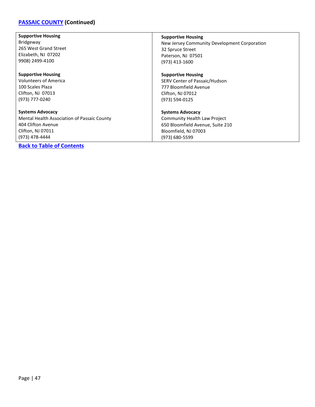# **[PASSAIC COUNTY](#page-43-0) (Continued)**

| <b>Supportive Housing</b>                   | <b>Supportive Housing</b>                    |
|---------------------------------------------|----------------------------------------------|
| <b>Bridgeway</b>                            | New Jersey Community Development Corporation |
| 265 West Grand Street                       | 32 Spruce Street                             |
| Elizabeth, NJ 07202                         | Paterson, NJ 07501                           |
| 9908) 2499-4100                             | (973) 413-1600                               |
| <b>Supportive Housing</b>                   | <b>Supportive Housing</b>                    |
| <b>Volunteers of America</b>                | SERV Center of Passaic/Hudson                |
| 100 Scales Plaza                            | 777 Bloomfield Avenue                        |
| Clifton, NJ 07013                           | Clifton, NJ 07012                            |
| (973) 777-0240                              | (973) 594-0125                               |
| <b>Systems Advocacy</b>                     | <b>Systems Advocacy</b>                      |
| Mental Health Association of Passaic County | Community Health Law Project                 |
| 404 Clifton Avenue                          | 650 Bloomfield Avenue, Suite 210             |
| Clifton, NJ 07011                           | Bloomfield, NJ 07003                         |
| (973) 478-4444                              | (973) 680-5599                               |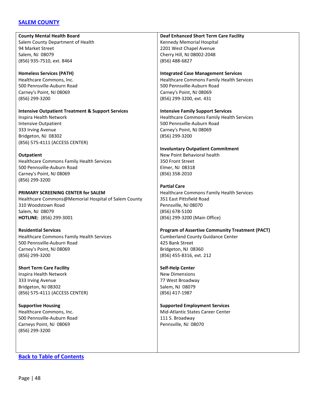### <span id="page-47-0"></span>**[SALEM COUNTY](#page-47-0)**

**County Mental Health Board** Salem County Department of Health 94 Market Street Salem, NJ 08079 (856) 935-7510, ext. 8464 **Homeless Services (PATH)** Healthcare Commons, Inc. 500 Pennsville-Auburn Road Carney's Point, NJ 08069 (856) 299-3200 **Intensive Outpatient Treatment & Support Services** Inspira Health Network Intensive Outpatient 333 Irving Avenue Bridgeton, NJ 08302 (856) 575-4111 (ACCESS CENTER) **Outpatient** Healthcare Commons Family Health Services 500 Pennsville-Auburn Road Carney's Point, NJ 08069 (856) 299-3200 **PRIMARY SCREENING CENTER for SALEM** Healthcare Commons@Memorial Hospital of Salem County 310 Woodstown Road Salem, NJ 08079 **HOTLINE:** (856) 299-3001 (856) 488-6827 (856) 299-3200 350 Front Street Elmer, NJ 08318 (856) 358-2010 **Partial Care** 351 East Pittsfield Road Pennsville, NJ 08070 (856) 678-5100

**Residential Services** Healthcare Commons Family Health Services 500 Pennsville-Auburn Road Carney's Point, NJ 08069 (856) 299-3200

**Short Term Care Facility** Inspira Health Network 333 Irving Avenue Bridgeton, NJ 08302 (856) 575-4111 (ACCESS CENTER)

**Supportive Housing** Healthcare Commons, Inc. 500 Pennsville-Auburn Road Carneys Point, NJ 08069 (856) 299-3200

**[Back to Table of Contents](#page-1-0)**

**Deaf Enhanced Short Term Care Facility** Kennedy Memorial Hospital 2201 West Chapel Avenue Cherry Hill, NJ 08002-2048

**Integrated Case Management Services** Healthcare Commons Family Health Services 500 Pennsville-Auburn Road Carney's Point, NJ 08069 (856) 299-3200, ext. 431

**Intensive Family Support Services** Healthcare Commons Family Health Services 500 Pennsville-Auburn Road Carney's Point, NJ 08069

**Involuntary Outpatient Commitment** New Point Behavioral health

Healthcare Commons Family Health Services (856) 299-3200 (Main Office)

**Program of Assertive Community Treatment (PACT)** Cumberland County Guidance Center 425 Bank Street Bridgeton, NJ 08360 (856) 455-8316, ext. 212

**Self-Help Center** New Dimensions 77 West Broadway Salem, NJ 08079

(856) 417-1987

**Supported Employment Services** Mid-Atlantic States Career Center 111 S. Broadway Pennsville, NJ 08070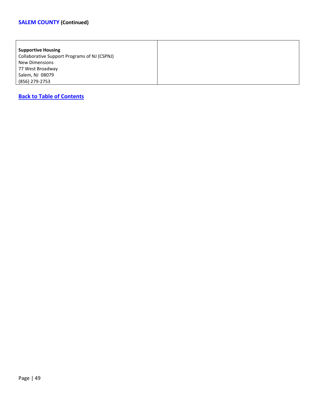| <b>Supportive Housing</b>                    |
|----------------------------------------------|
| Collaborative Support Programs of NJ (CSPNJ) |
| <b>New Dimensions</b>                        |
| 77 West Broadway                             |
| Salem, NJ 08079                              |
| (856) 279-2753                               |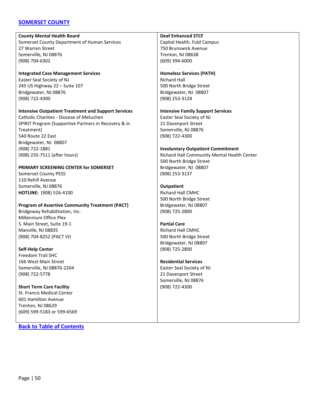### <span id="page-49-0"></span>**[SOMERSET COUNTY](#page-49-0)**

#### **County Mental Health Board**

Somerset County Department of Human Services 27 Warren Street Somerville, NJ 08876 (908) 704-6302

**Integrated Case Management Services** Easter Seal Society of NJ 245 US Highway 22 – Suite 107 Bridgewater, NJ 08876 (908) 722-4300

#### **Intensive Outpatient Treatment and Support Services**

Catholic Charities - Diocese of Metuchen SPIRIT Program (Supportive Partners in Recovery & in Treatment) 540 Route 22 East Bridgewater, NJ 08807 (908) 722-1881 (908) 235-7511 (after hours)

### **PRIMARY SCREENING CENTER for SOMERSET**

Somerset County PESS 110 Rehill Avenue Somerville, NJ 08876 **HOTLINE:** (908) 526-4100

# **Program of Assertive Community Treatment (PACT)** Bridgeway Rehabilitation, Inc. Millennium Office Plex

S. Main Street, Suite 19-1 Manville, NJ 08835 (908) 704-8252 (PACT VI)

### **Self-Help Center**

Freedom Trail SHC 166 West Main Street Somerville, NJ 08876-2204 (908) 722-5778

#### **Short Term Care Facility** St. Francis Medical Center 601 Hamilton Avenue Trenton, NJ 08629 (609) 599-5183 or 599-6569

**[Back to Table of Contents](#page-1-0)**

### **Deaf Enhanced STCF**

Capital Health, Fuld Campus 750 Brunswick Avenue Trenton, NJ 08638 (609) 394-6000

#### **Homeless Services (PATH)**

Richard Hall 500 North Bridge Street Bridgewater, NJ 08807 (908) 253-3128

**Intensive Family Support Services** Easter Seal Society of NJ 21 Davenport Street Somerville, NJ 08876 (908) 722-4300

### **Involuntary Outpatient Commitment**

Richard Hall Community Mental Health Center 500 North Bridge Street Bridgewater, NJ 08807 (908) 253-3137

### **Outpatient**

Richard Hall CMHC 500 North Bridge Street Bridgewater, NJ 08807 (908) 725-2800

# **Partial Care**

Richard Hall CMHC 500 North Bridge Street Bridgewater, NJ 08807 (908) 725-2800

### **Residential Services**

Easter Seal Society of NJ 21 Davenport Street Somerville, NJ 08876 (908) 722-4300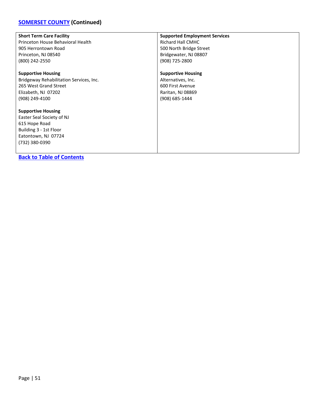# **[SOMERSET COUNTY](#page-49-0) (Continued)**

| <b>Short Term Care Facility</b>         | <b>Supported Employment Services</b> |
|-----------------------------------------|--------------------------------------|
| Princeton House Behavioral Health       | Richard Hall CMHC                    |
| 905 Herrontown Road                     | 500 North Bridge Street              |
| Princeton, NJ 08540                     | Bridgewater, NJ 08807                |
| (800) 242-2550                          | (908) 725-2800                       |
| <b>Supportive Housing</b>               | <b>Supportive Housing</b>            |
| Bridgeway Rehabilitation Services, Inc. | Alternatives, Inc.                   |
| 265 West Grand Street                   | 600 First Avenue                     |
| Elizabeth, NJ 07202                     | Raritan, NJ 08869                    |
| (908) 249-4100                          | (908) 685-1444                       |
| <b>Supportive Housing</b>               |                                      |
| Easter Seal Society of NJ               |                                      |
| 615 Hope Road                           |                                      |
| Building 3 - 1st Floor                  |                                      |
| Eatontown, NJ 07724                     |                                      |
| (732) 380-0390                          |                                      |
|                                         |                                      |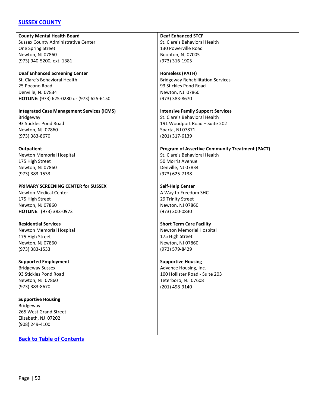### <span id="page-51-0"></span>**[SUSSEX COUNTY](#page-51-0)**

**County Mental Health Board** Sussex County Administrative Center One Spring Street Newton, NJ 07860 (973) 940-5200, ext. 1381

**Deaf Enhanced Screening Center** St. Clare's Behavioral Health 25 Pocono Road Denville, NJ 07834 **HOTLINE:** (973) 625-0280 or (973) 625-6150

**Integrated Case Management Services (ICMS)** Bridgeway 93 Stickles Pond Road Newton, NJ 07860 (973) 383-8670

**Outpatient** Newton Memorial Hospital 175 High Street Newton, NJ 07860 (973) 383-1533

**PRIMARY SCREENING CENTER for SUSSEX** Newton Medical Center 175 High Street

Newton, NJ 07860 **HOTLINE**: (973) 383-0973

**Residential Services** Newton Memorial Hospital 175 High Street Newton, NJ 07860 (973) 383-1533

**Supported Employment** Bridgeway Sussex 93 Stickles Pond Road Newton, NJ 07860 (973) 383-8670

**Supportive Housing** Bridgeway 265 West Grand Street Elizabeth, NJ 07202 (908) 249-4100

**[Back to Table of Contents](#page-1-0)**

**Deaf Enhanced STCF** St. Clare's Behavioral Health 130 Powerville Road Boonton, NJ 07005 (973) 316-1905

**Homeless (PATH)** Bridgeway Rehabilitation Services 93 Stickles Pond Road Newton, NJ 07860 (973) 383-8670

**Intensive Family Support Services** St. Clare's Behavioral Health 191 Woodport Road – Suite 202 Sparta, NJ 07871 (201) 317-6139

**Program of Assertive Community Treatment (PACT)** St. Clare's Behavioral Health 50 Morris Avenue Denville, NJ 07834 (973) 625-7138

**Self-Help Center** A Way to Freedom SHC 29 Trinity Street Newton, NJ 07860 (973) 300-0830

**Short Term Care Facility** Newton Memorial Hospital 175 High Street Newton, NJ 07860 (973) 579-8429

**Supportive Housing** Advance Housing, Inc. 100 Hollister Road - Suite 203 Teterboro, NJ 07608 (201) 498-9140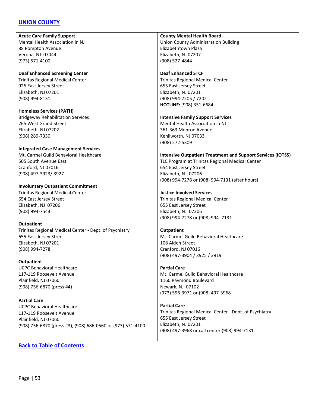### <span id="page-52-0"></span>**[UNION COUNTY](#page-52-0)**

**Acute Care Family Support** Mental Health Association in NJ 88 Pompton Avenue Verona, NJ 07044 (973) 571-4100

**Deaf Enhanced Screening Center** Trinitas Regional Medical Center 925 East Jersey Street Elizabeth, NJ 07201 (908) 994-8131

**Homeless Services (PATH)** Bridgeway Rehabilitation Services 265 West Grand Street Elizabeth, NJ 07202 (908) 289-7330

#### **Integrated Case Management Services**

Mt. Carmel Guild Behavioral Healthcare 505 South Avenue East Cranford, NJ 07016 (908) 497-3923/ 3927

**Involuntary Outpatient Commitment** Trinitas Regional Medical Center 654 East Jersey Street Elizabeth, NJ 07206 (908) 994-7543

#### **Outpatient**

Trinitas Regional Medical Center - Dept. of Psychiatry 655 East Jersey Street Elizabeth, NJ 07201 (908) 994-7278

**Outpatient** UCPC Behavioral Healthcare 117-119 Roosevelt Avenue Plainfield, NJ 07060 (908) 756-6870 (press #4)

**Partial Care** UCPC Behavioral Healthcare 117-119 Roosevelt Avenue Plainfield, NJ 07060 (908) 756-6870 (press #3), (908) 686-0560 or (973) 571-4100

#### **[Back to Table of Contents](#page-1-0)**

**County Mental Health Board**

Union County Administration Building Elizabethtown Plaza Elizabeth, NJ 07207 (908) 527-4844

#### **Deaf Enhanced STCF**

Trinitas Regional Medical Center 655 East Jersey Street Elizabeth, NJ 07201 (908) 994-7205 / 7202 **HOTLINE:** (908) 351-6684

#### **Intensive Family Support Services**

Mental Health Association in NJ 361-363 Monroe Avenue Kenilworth, NJ 07033 (908) 272-5309

#### **Intensive Outpatient Treatment and Support Services (IOTSS)**

TLC Program at Trinitas Regional Medical Center 654 East Jersey Street Elizabeth, NJ 07206 (908) 994-7278 or (908) 994-7131 (after hours)

#### **Justice Involved Services**

Trinitas Regional Medical Center 655 East Jersey Street Elizabeth, NJ 07206 (908) 994-7278 or (908) 994- 7131

#### **Outpatient**

Mt. Carmel Guild Behavioral Healthcare 108 Alden Street Cranford, NJ 07016 (908) 497-3904 / 3925 / 3919

#### **Partial Care**

Mt. Carmel Guild Behavioral Healthcare 1160 Raymond Boulevard Newark, NJ 07102 (973) 596-3971 or (908) 497-3968

**Partial Care** Trinitas Regional Medical Center - Dept. of Psychiatry 655 East Jersey Street Elizabeth, NJ 07201 (908) 497-3968 or call center (908) 994-7131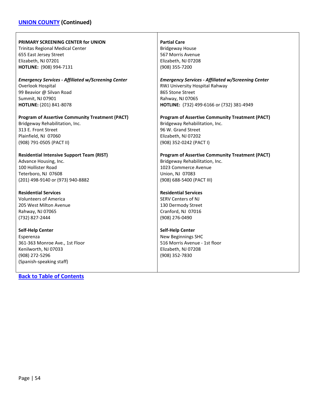# **[UNION COUNTY](#page-52-0) (Continued)**

| <b>PRIMARY SCREENING CENTER for UNION</b>                                                                                                                                        | <b>Partial Care</b>                                                                                                            |
|----------------------------------------------------------------------------------------------------------------------------------------------------------------------------------|--------------------------------------------------------------------------------------------------------------------------------|
| <b>Trinitas Regional Medical Center</b>                                                                                                                                          | <b>Bridgeway House</b>                                                                                                         |
| 655 East Jersey Street                                                                                                                                                           | 567 Morris Avenue                                                                                                              |
| Elizabeth, NJ 07201                                                                                                                                                              | Elizabeth, NJ 07208                                                                                                            |
| HOTLINE: (908) 994-7131                                                                                                                                                          | (908) 355-7200                                                                                                                 |
| <b>Emergency Services - Affiliated w/Screening Center</b>                                                                                                                        | <b>Emergency Services - Affiliated w/Screening Center</b>                                                                      |
| Overlook Hospital                                                                                                                                                                | RWJ University Hospital Rahway                                                                                                 |
| 99 Beavior @ Silvan Road                                                                                                                                                         | 865 Stone Street                                                                                                               |
| Summit, NJ 07901                                                                                                                                                                 | Rahway, NJ 07065                                                                                                               |
| HOTLINE: (201) 841-8078                                                                                                                                                          | HOTLINE: (732) 499-6166 or (732) 381-4949                                                                                      |
| <b>Program of Assertive Community Treatment (PACT)</b>                                                                                                                           | <b>Program of Assertive Community Treatment (PACT)</b>                                                                         |
| Bridgeway Rehabilitation, Inc.                                                                                                                                                   | Bridgeway Rehabilitation, Inc.                                                                                                 |
| 313 E. Front Street                                                                                                                                                              | 96 W. Grand Street                                                                                                             |
| Plainfield, NJ 07060                                                                                                                                                             | Elizabeth, NJ 07202                                                                                                            |
| (908) 791-0505 (PACT II)                                                                                                                                                         | (908) 352-0242 (PACT I)                                                                                                        |
| <b>Residential Intensive Support Team (RIST)</b>                                                                                                                                 | <b>Program of Assertive Community Treatment (PACT)</b>                                                                         |
| Advance Housing, Inc.                                                                                                                                                            | Bridgeway Rehabilitation, Inc.                                                                                                 |
| 100 Hollister Road                                                                                                                                                               | 1023 Commerce Avenue                                                                                                           |
| Teterboro, NJ 07608                                                                                                                                                              | Union, NJ 07083                                                                                                                |
| (201) 498-9140 or (973) 940-8882                                                                                                                                                 | (908) 688-5400 (PACT III)                                                                                                      |
| <b>Residential Services</b>                                                                                                                                                      | <b>Residential Services</b>                                                                                                    |
| <b>Volunteers of America</b>                                                                                                                                                     | <b>SERV Centers of NJ</b>                                                                                                      |
| 205 West Milton Avenue                                                                                                                                                           | 130 Dermody Street                                                                                                             |
| Rahway, NJ 07065                                                                                                                                                                 | Cranford, NJ 07016                                                                                                             |
| (732) 827-2444                                                                                                                                                                   | (908) 276-0490                                                                                                                 |
| <b>Self-Help Center</b><br>Esperenza<br>361-363 Monroe Ave., 1st Floor<br>Kenilworth, NJ 07033<br>(908) 272-5296<br>(Spanish-speaking staff)<br><b>Back to Table of Contents</b> | <b>Self-Help Center</b><br><b>New Beginnings SHC</b><br>516 Morris Avenue - 1st floor<br>Elizabeth, NJ 07208<br>(908) 352-7830 |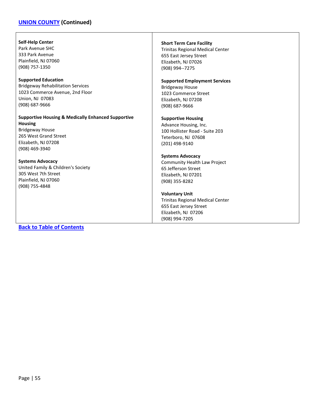### **[UNION COUNTY](#page-52-0) (Continued)**

#### **Self-Help Center**

Park Avenue SHC 333 Park Avenue Plainfield, NJ 07060 (908) 757-1350

#### **Supported Education**

Bridgeway Rehabilitation Services 1023 Commerce Avenue, 2nd Floor Union, NJ 07083 (908) 687-9666

#### **Supportive Housing & Medically Enhanced Supportive Housing**

Bridgeway House 265 West Grand Street Elizabeth, NJ 07208 (908) 469-3940

#### **Systems Advocacy**

United Family & Children's Society 305 West 7th Street Plainfield, NJ 07060 (908) 755-4848

# **[Back to Table of Contents](#page-1-0)**

#### **Short Term Care Facility**

Trinitas Regional Medical Center 655 East Jersey Street Elizabeth, NJ 07026 (908) 994--7275

#### **Supported Employment Services**

Bridgeway House 1023 Commerce Street Elizabeth, NJ 07208 (908) 687-9666

### **Supportive Housing**

Advance Housing, Inc. 100 Hollister Road - Suite 203 Teterboro, NJ 07608 (201) 498-9140

#### **Systems Advocacy**

Community Health Law Project 65 Jefferson Street Elizabeth, NJ 07201 (908) 355-8282

#### **Voluntary Unit**

Trinitas Regional Medical Center 655 East Jersey Street Elizabeth, NJ 07206 (908) 994-7205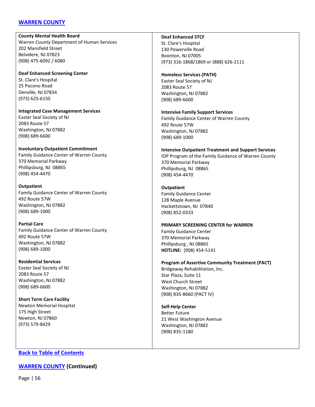### <span id="page-55-0"></span>**[WARREN COUNTY](#page-55-0)**

#### **County Mental Health Board**

Warren County Department of Human Services 202 Mansfield Street Belvidere, NJ 07823 (908) 475-6092 / 6080

**Deaf Enhanced Screening Center** St. Clare's Hospital 25 Pocono Road Denville, NJ 07834

**Integrated Case Management Services** Easter Seal Society of NJ 2083 Route 57 Washington, NJ 07882 (908) 689-6600

# **Involuntary Outpatient Commitment**

Family Guidance Center of Warren County 370 Memorial Parkway Phillipsburg, NJ 08865 (908) 454-4470

### **Outpatient**

(973) 625-6150

Family Guidance Center of Warren County 492 Route 57W Washington, NJ 07882 (908) 689-1000

### **Partial Care**

Family Guidance Center of Warren County 492 Route 57W Washington, NJ 07882 (908) 689-1000

### **Residential Services**

Easter Seal Society of NJ 2083 Route 57 Washington, NJ 07882 (908) 689-6600

#### **Short Term Care Facility** Newton Memorial Hospital

175 High Street Newton, NJ 07860 (973) 579-8429

### **Deaf Enhanced STCF**

St. Clare's Hospital 130 Powerville Road Boonton, NJ 07005 (973) 316-1868/1869 or (888) 626-2111

### **Homeless Services (PATH)**

Easter Seal Society of NJ 2083 Route 57 Washington, NJ 07882 (908) 689-6600

# **Intensive Family Support Services**

Family Guidance Center of Warren County 492 Route 57W Washington, NJ 07882 (908) 689-1000

## **Intensive Outpatient Treatment and Support Services**

IOP Program of the Family Guidance of Warren County 370 Memorial Parkway Phillipsburg, NJ 08865 (908) 454-4470

### **Outpatient**

Family Guidance Center 128 Maple Avenue Hackettstown, NJ 07840 (908) 852-0333

#### **PRIMARY SCREENING CENTER for WARREN**

Family Guidance Center 370 Memorial Parkway Phillipsburg , NJ 08865 **HOTLINE:** (908) 454-5141

### **Program of Assertive Community Treatment (PACT)**

Bridgeway Rehabilitation, Inc. Star Plaza, Suite 11 West Church Street Washington, NJ 07882 (908) 835-8660 (PACT IV)

# **Self-Help Center**

Better Future 21 West Washington Avenue Washington, NJ 07882 (908) 835-1180

## **[Back to Table of Contents](#page-1-0)**

## **[WARREN COUNTY](#page-55-0) (Continued)**